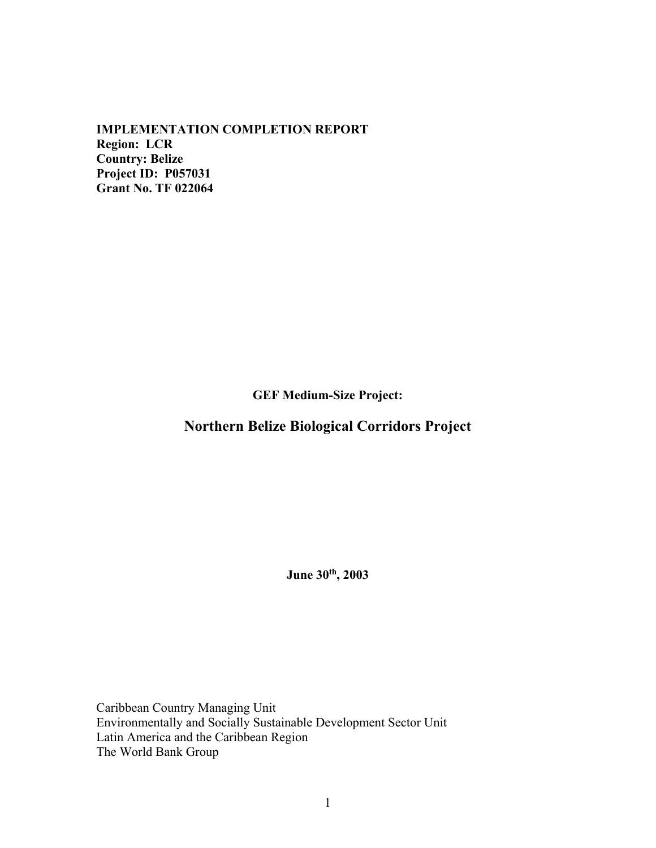**IMPLEMENTATION COMPLETION REPORT Region: LCR Country: Belize Project ID: P057031 Grant No. TF 022064** 

**GEF Medium-Size Project:**

# **Northern Belize Biological Corridors Project**

**June 30th, 2003** 

Caribbean Country Managing Unit Environmentally and Socially Sustainable Development Sector Unit Latin America and the Caribbean Region The World Bank Group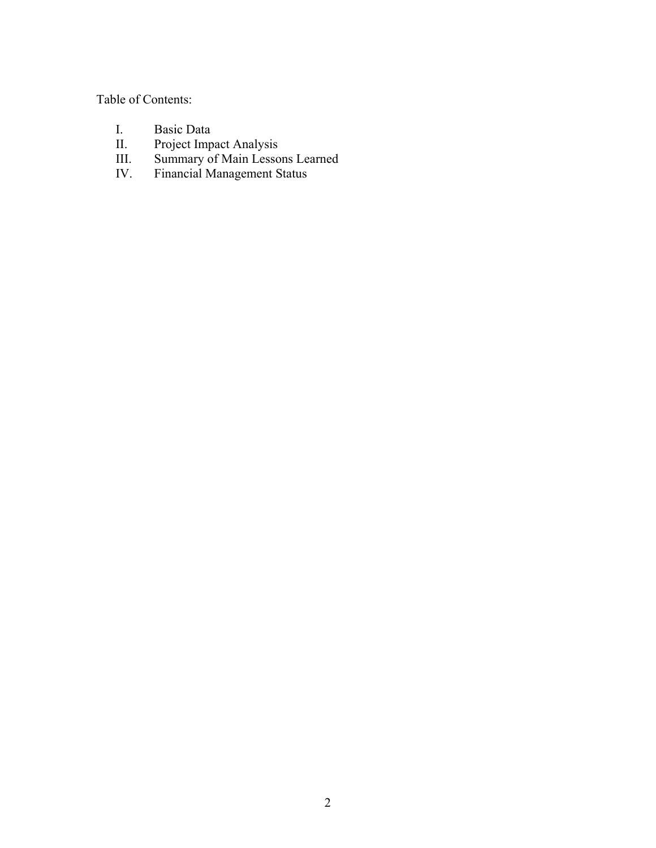Table of Contents:

- I. Basic Data<br>II. Project Imp
- II. Project Impact Analysis
- III. Summary of Main Lessons Learned
- IV. Financial Management Status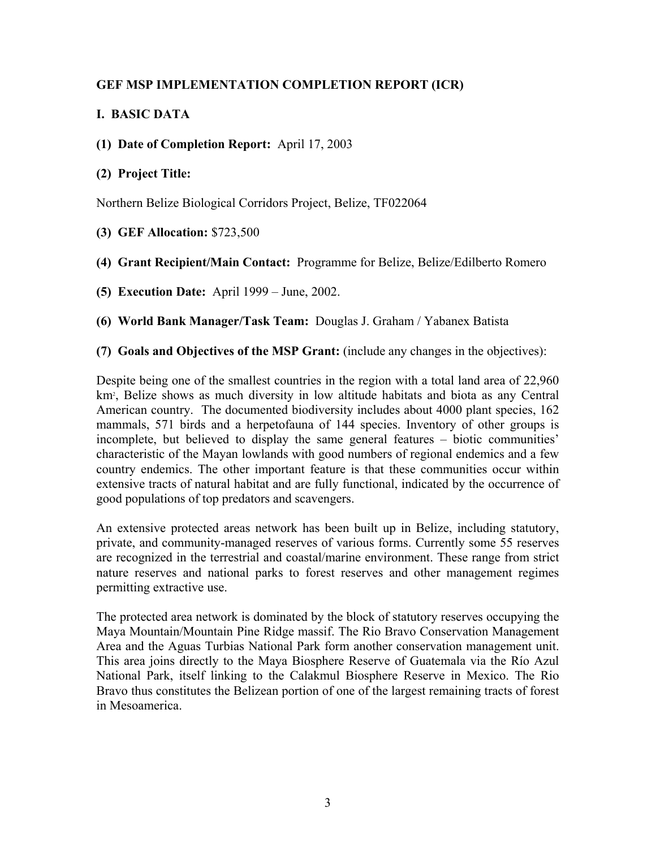# **GEF MSP IMPLEMENTATION COMPLETION REPORT (ICR)**

# **I. BASIC DATA**

**(1) Date of Completion Report:** April 17, 2003

# **(2) Project Title:**

Northern Belize Biological Corridors Project, Belize, TF022064

- **(3) GEF Allocation:** \$723,500
- **(4) Grant Recipient/Main Contact:** Programme for Belize, Belize/Edilberto Romero
- **(5) Execution Date:** April 1999 June, 2002.

**(6) World Bank Manager/Task Team:** Douglas J. Graham / Yabanex Batista

**(7) Goals and Objectives of the MSP Grant:** (include any changes in the objectives):

Despite being one of the smallest countries in the region with a total land area of 22,960 km2 , Belize shows as much diversity in low altitude habitats and biota as any Central American country. The documented biodiversity includes about 4000 plant species, 162 mammals, 571 birds and a herpetofauna of 144 species. Inventory of other groups is incomplete, but believed to display the same general features – biotic communities' characteristic of the Mayan lowlands with good numbers of regional endemics and a few country endemics. The other important feature is that these communities occur within extensive tracts of natural habitat and are fully functional, indicated by the occurrence of good populations of top predators and scavengers.

An extensive protected areas network has been built up in Belize, including statutory, private, and community-managed reserves of various forms. Currently some 55 reserves are recognized in the terrestrial and coastal/marine environment. These range from strict nature reserves and national parks to forest reserves and other management regimes permitting extractive use.

The protected area network is dominated by the block of statutory reserves occupying the Maya Mountain/Mountain Pine Ridge massif. The Rio Bravo Conservation Management Area and the Aguas Turbias National Park form another conservation management unit. This area joins directly to the Maya Biosphere Reserve of Guatemala via the Río Azul National Park, itself linking to the Calakmul Biosphere Reserve in Mexico. The Rio Bravo thus constitutes the Belizean portion of one of the largest remaining tracts of forest in Mesoamerica.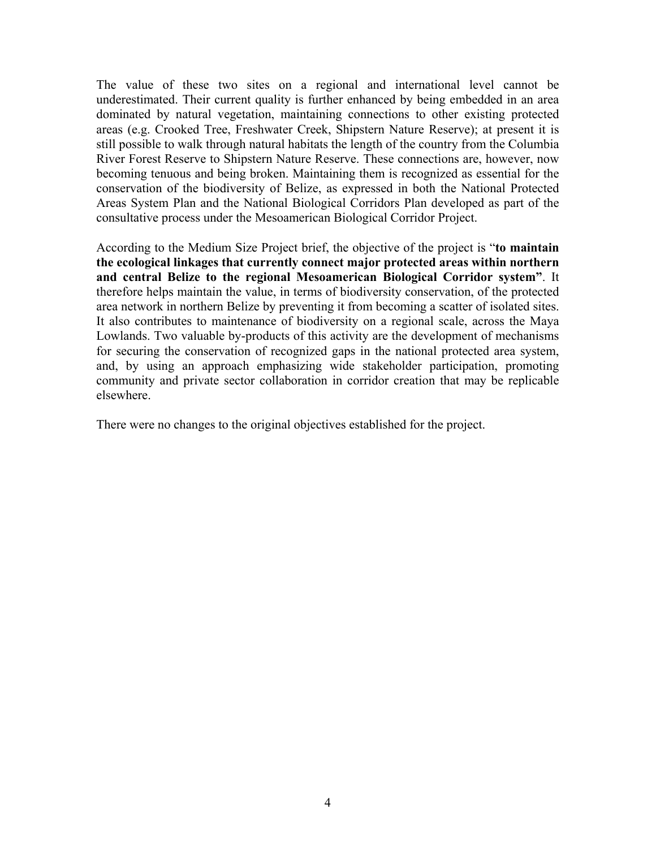The value of these two sites on a regional and international level cannot be underestimated. Their current quality is further enhanced by being embedded in an area dominated by natural vegetation, maintaining connections to other existing protected areas (e.g. Crooked Tree, Freshwater Creek, Shipstern Nature Reserve); at present it is still possible to walk through natural habitats the length of the country from the Columbia River Forest Reserve to Shipstern Nature Reserve. These connections are, however, now becoming tenuous and being broken. Maintaining them is recognized as essential for the conservation of the biodiversity of Belize, as expressed in both the National Protected Areas System Plan and the National Biological Corridors Plan developed as part of the consultative process under the Mesoamerican Biological Corridor Project.

According to the Medium Size Project brief, the objective of the project is "**to maintain the ecological linkages that currently connect major protected areas within northern and central Belize to the regional Mesoamerican Biological Corridor system"**. It therefore helps maintain the value, in terms of biodiversity conservation, of the protected area network in northern Belize by preventing it from becoming a scatter of isolated sites. It also contributes to maintenance of biodiversity on a regional scale, across the Maya Lowlands. Two valuable by-products of this activity are the development of mechanisms for securing the conservation of recognized gaps in the national protected area system, and, by using an approach emphasizing wide stakeholder participation, promoting community and private sector collaboration in corridor creation that may be replicable elsewhere.

There were no changes to the original objectives established for the project.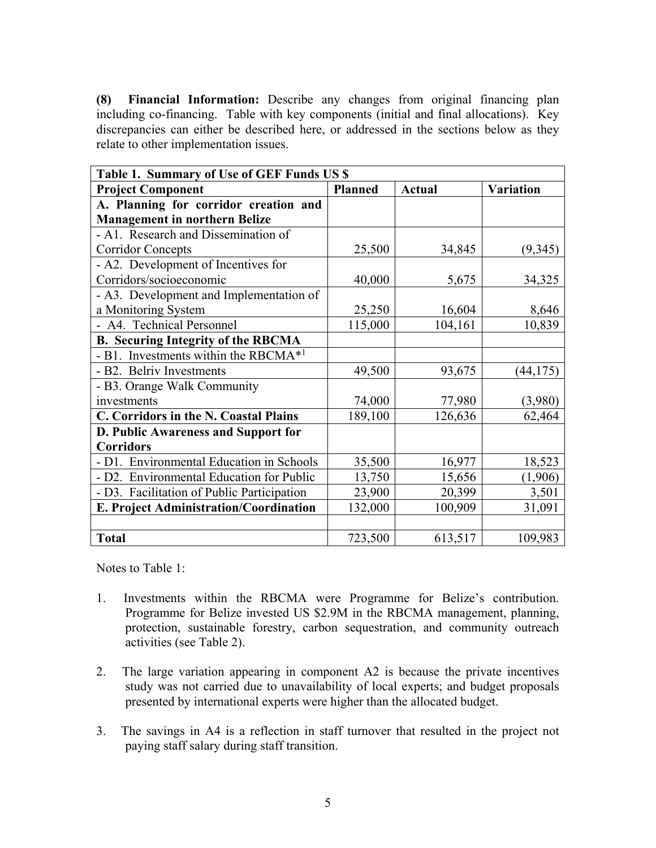**(8) Financial Information:** Describe any changes from original financing plan including co-financing. Table with key components (initial and final allocations). Key discrepancies can either be described here, or addressed in the sections below as they relate to other implementation issues.

| Table 1. Summary of Use of GEF Funds US \$       |                |               |                  |
|--------------------------------------------------|----------------|---------------|------------------|
| <b>Project Component</b>                         | <b>Planned</b> | <b>Actual</b> | <b>Variation</b> |
| A. Planning for corridor creation and            |                |               |                  |
| <b>Management in northern Belize</b>             |                |               |                  |
| - A1. Research and Dissemination of              |                |               |                  |
| <b>Corridor Concepts</b>                         | 25,500         | 34,845        | (9, 345)         |
| - A2. Development of Incentives for              |                |               |                  |
| Corridors/socioeconomic                          | 40,000         | 5,675         | 34,325           |
| - A3. Development and Implementation of          |                |               |                  |
| a Monitoring System                              | 25,250         | 16,604        | 8,646            |
| - A4. Technical Personnel                        | 115,000        | 104,161       | 10,839           |
| <b>B.</b> Securing Integrity of the RBCMA        |                |               |                  |
| - B1. Investments within the RBCMA <sup>*1</sup> |                |               |                  |
| - B2. Belriv Investments                         | 49,500         | 93,675        | (44, 175)        |
| - B3. Orange Walk Community                      |                |               |                  |
| investments                                      | 74,000         | 77,980        | (3,980)          |
| <b>C. Corridors in the N. Coastal Plains</b>     | 189,100        | 126,636       | 62,464           |
| D. Public Awareness and Support for              |                |               |                  |
| <b>Corridors</b>                                 |                |               |                  |
| - D1. Environmental Education in Schools         | 35,500         | 16,977        | 18,523           |
| - D2. Environmental Education for Public         | 13,750         | 15,656        | (1,906)          |
| - D3. Facilitation of Public Participation       | 23,900         | 20,399        | 3,501            |
| E. Project Administration/Coordination           | 132,000        | 100,909       | 31,091           |
|                                                  |                |               |                  |
| <b>Total</b>                                     | 723,500        | 613,517       | 109,983          |

Notes to Table 1:

- 1. Investments within the RBCMA were Programme for Belize's contribution. Programme for Belize invested US \$2.9M in the RBCMA management, planning, protection, sustainable forestry, carbon sequestration, and community outreach activities (see Table 2).
- 2. The large variation appearing in component A2 is because the private incentives study was not carried due to unavailability of local experts; and budget proposals presented by international experts were higher than the allocated budget.
- 3. The savings in A4 is a reflection in staff turnover that resulted in the project not paying staff salary during staff transition.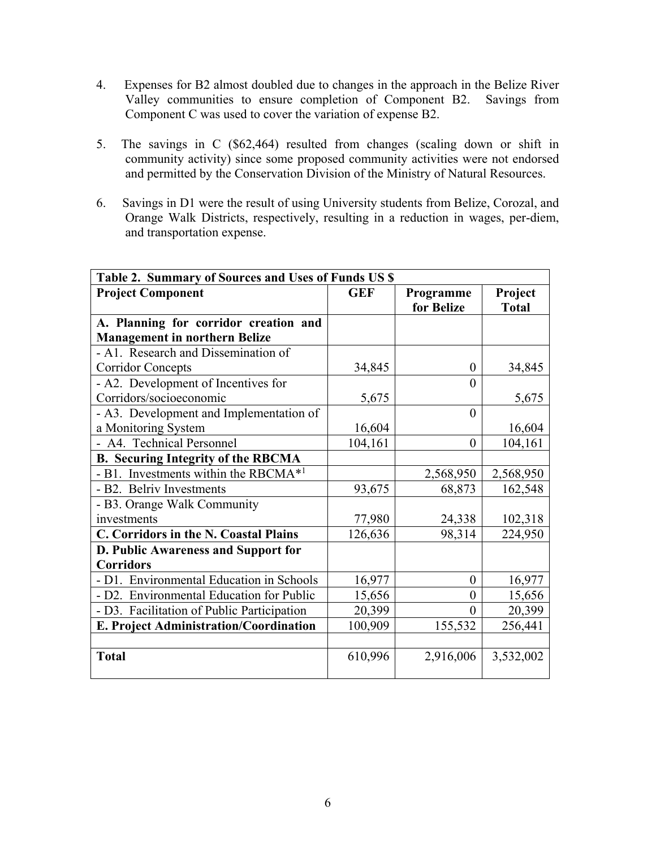- 4. Expenses for B2 almost doubled due to changes in the approach in the Belize River Valley communities to ensure completion of Component B2. Savings from Component C was used to cover the variation of expense B2.
- 5. The savings in C (\$62,464) resulted from changes (scaling down or shift in community activity) since some proposed community activities were not endorsed and permitted by the Conservation Division of the Ministry of Natural Resources.
- 6. Savings in D1 were the result of using University students from Belize, Corozal, and Orange Walk Districts, respectively, resulting in a reduction in wages, per-diem, and transportation expense.

| Table 2. Summary of Sources and Uses of Funds US \$ |            |                  |              |
|-----------------------------------------------------|------------|------------------|--------------|
| <b>Project Component</b>                            | <b>GEF</b> | Programme        | Project      |
|                                                     |            | for Belize       | <b>Total</b> |
| A. Planning for corridor creation and               |            |                  |              |
| <b>Management in northern Belize</b>                |            |                  |              |
| - A1. Research and Dissemination of                 |            |                  |              |
| <b>Corridor Concepts</b>                            | 34,845     | $\boldsymbol{0}$ | 34,845       |
| - A2. Development of Incentives for                 |            | $\theta$         |              |
| Corridors/socioeconomic                             | 5,675      |                  | 5,675        |
| - A3. Development and Implementation of             |            | $\overline{0}$   |              |
| a Monitoring System                                 | 16,604     |                  | 16,604       |
| - A4. Technical Personnel                           | 104,161    | $\overline{0}$   | 104,161      |
| <b>B. Securing Integrity of the RBCMA</b>           |            |                  |              |
| - B1. Investments within the RBCMA <sup>*1</sup>    |            | 2,568,950        | 2,568,950    |
| - B2. Belriv Investments                            | 93,675     | 68,873           | 162,548      |
| - B3. Orange Walk Community                         |            |                  |              |
| investments                                         | 77,980     | 24,338           | 102,318      |
| C. Corridors in the N. Coastal Plains               | 126,636    | 98,314           | 224,950      |
| D. Public Awareness and Support for                 |            |                  |              |
| <b>Corridors</b>                                    |            |                  |              |
| - D1. Environmental Education in Schools            | 16,977     | $\theta$         | 16,977       |
| - D2. Environmental Education for Public            | 15,656     | $\theta$         | 15,656       |
| - D3. Facilitation of Public Participation          | 20,399     | $\theta$         | 20,399       |
| E. Project Administration/Coordination              | 100,909    | 155,532          | 256,441      |
|                                                     |            |                  |              |
| <b>Total</b>                                        | 610,996    | 2,916,006        | 3,532,002    |
|                                                     |            |                  |              |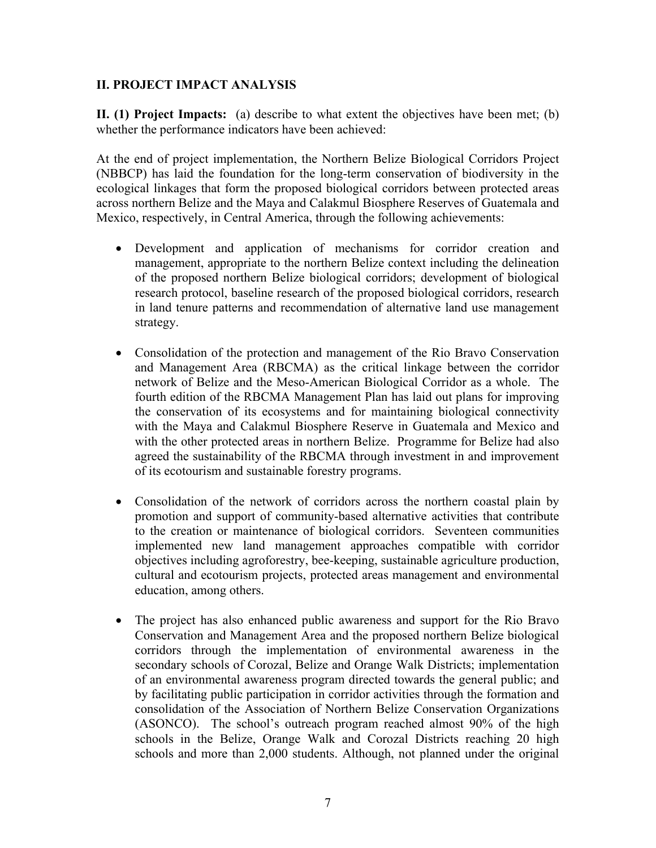### **II. PROJECT IMPACT ANALYSIS**

**II. (1) Project Impacts:** (a) describe to what extent the objectives have been met; (b) whether the performance indicators have been achieved:

At the end of project implementation, the Northern Belize Biological Corridors Project (NBBCP) has laid the foundation for the long-term conservation of biodiversity in the ecological linkages that form the proposed biological corridors between protected areas across northern Belize and the Maya and Calakmul Biosphere Reserves of Guatemala and Mexico, respectively, in Central America, through the following achievements:

- Development and application of mechanisms for corridor creation and management, appropriate to the northern Belize context including the delineation of the proposed northern Belize biological corridors; development of biological research protocol, baseline research of the proposed biological corridors, research in land tenure patterns and recommendation of alternative land use management strategy.
- Consolidation of the protection and management of the Rio Bravo Conservation and Management Area (RBCMA) as the critical linkage between the corridor network of Belize and the Meso-American Biological Corridor as a whole. The fourth edition of the RBCMA Management Plan has laid out plans for improving the conservation of its ecosystems and for maintaining biological connectivity with the Maya and Calakmul Biosphere Reserve in Guatemala and Mexico and with the other protected areas in northern Belize. Programme for Belize had also agreed the sustainability of the RBCMA through investment in and improvement of its ecotourism and sustainable forestry programs.
- Consolidation of the network of corridors across the northern coastal plain by promotion and support of community-based alternative activities that contribute to the creation or maintenance of biological corridors. Seventeen communities implemented new land management approaches compatible with corridor objectives including agroforestry, bee-keeping, sustainable agriculture production, cultural and ecotourism projects, protected areas management and environmental education, among others.
- The project has also enhanced public awareness and support for the Rio Bravo Conservation and Management Area and the proposed northern Belize biological corridors through the implementation of environmental awareness in the secondary schools of Corozal, Belize and Orange Walk Districts; implementation of an environmental awareness program directed towards the general public; and by facilitating public participation in corridor activities through the formation and consolidation of the Association of Northern Belize Conservation Organizations (ASONCO). The school's outreach program reached almost 90% of the high schools in the Belize, Orange Walk and Corozal Districts reaching 20 high schools and more than 2,000 students. Although, not planned under the original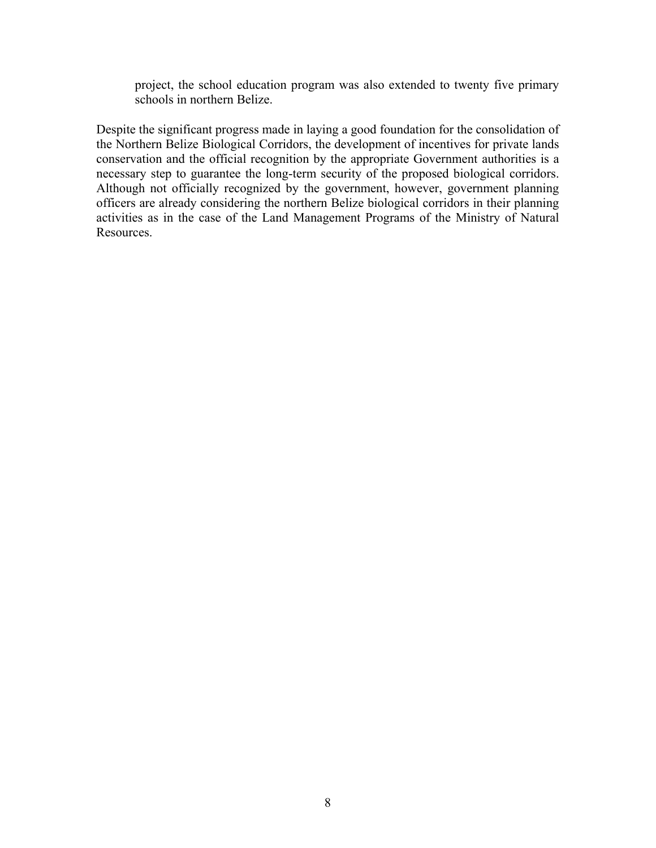project, the school education program was also extended to twenty five primary schools in northern Belize.

Despite the significant progress made in laying a good foundation for the consolidation of the Northern Belize Biological Corridors, the development of incentives for private lands conservation and the official recognition by the appropriate Government authorities is a necessary step to guarantee the long-term security of the proposed biological corridors. Although not officially recognized by the government, however, government planning officers are already considering the northern Belize biological corridors in their planning activities as in the case of the Land Management Programs of the Ministry of Natural Resources.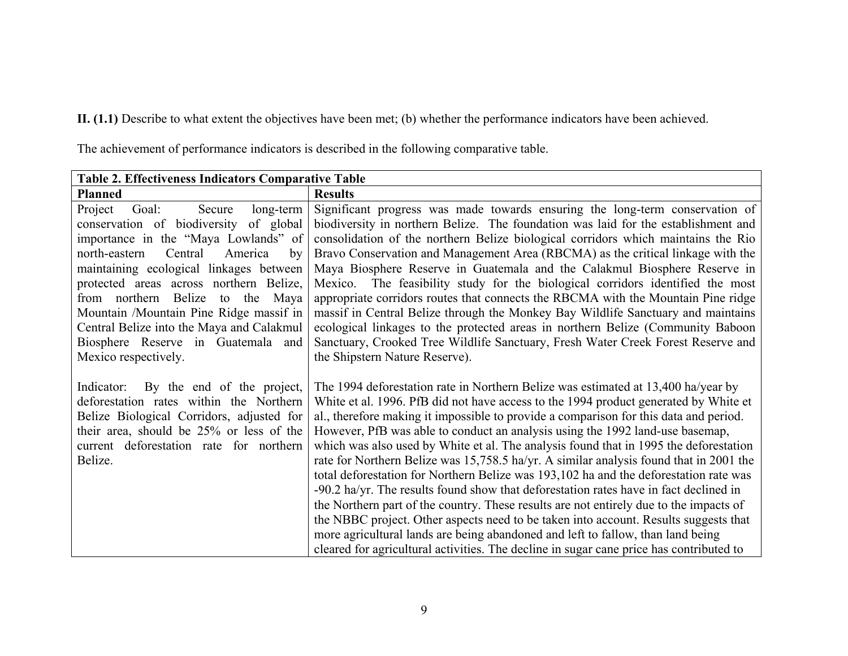**II. (1.1)** Describe to what extent the objectives have been met; (b) whether the performance indicators have been achieved.

| <b>Table 2. Effectiveness Indicators Comparative Table</b>                                                                                                                                                                                                                                                                                                                                                                                                |                                                                                                                                                                                                                                                                                                                                                                                                                                                                                                                                                                                                                                                                                                                                                                                                                                                                                                                                                                                                                                                                                            |  |
|-----------------------------------------------------------------------------------------------------------------------------------------------------------------------------------------------------------------------------------------------------------------------------------------------------------------------------------------------------------------------------------------------------------------------------------------------------------|--------------------------------------------------------------------------------------------------------------------------------------------------------------------------------------------------------------------------------------------------------------------------------------------------------------------------------------------------------------------------------------------------------------------------------------------------------------------------------------------------------------------------------------------------------------------------------------------------------------------------------------------------------------------------------------------------------------------------------------------------------------------------------------------------------------------------------------------------------------------------------------------------------------------------------------------------------------------------------------------------------------------------------------------------------------------------------------------|--|
| <b>Planned</b>                                                                                                                                                                                                                                                                                                                                                                                                                                            | <b>Results</b>                                                                                                                                                                                                                                                                                                                                                                                                                                                                                                                                                                                                                                                                                                                                                                                                                                                                                                                                                                                                                                                                             |  |
| Project<br>Secure<br>Goal:<br>long-term<br>conservation of biodiversity of global<br>importance in the "Maya Lowlands" of<br>north-eastern<br>Central<br>America<br>by<br>maintaining ecological linkages between<br>protected areas across northern Belize,<br>from northern Belize to the<br>Maya<br>Mountain /Mountain Pine Ridge massif in<br>Central Belize into the Maya and Calakmul<br>Biosphere Reserve in Guatemala and<br>Mexico respectively. | Significant progress was made towards ensuring the long-term conservation of<br>biodiversity in northern Belize. The foundation was laid for the establishment and<br>consolidation of the northern Belize biological corridors which maintains the Rio<br>Bravo Conservation and Management Area (RBCMA) as the critical linkage with the<br>Maya Biosphere Reserve in Guatemala and the Calakmul Biosphere Reserve in<br>Mexico. The feasibility study for the biological corridors identified the most<br>appropriate corridors routes that connects the RBCMA with the Mountain Pine ridge<br>massif in Central Belize through the Monkey Bay Wildlife Sanctuary and maintains<br>ecological linkages to the protected areas in northern Belize (Community Baboon<br>Sanctuary, Crooked Tree Wildlife Sanctuary, Fresh Water Creek Forest Reserve and<br>the Shipstern Nature Reserve).                                                                                                                                                                                                |  |
| By the end of the project,<br>Indicator:<br>deforestation rates within the Northern<br>Belize Biological Corridors, adjusted for<br>their area, should be 25% or less of the<br>current deforestation rate for northern<br>Belize.                                                                                                                                                                                                                        | The 1994 deforestation rate in Northern Belize was estimated at 13,400 ha/year by<br>White et al. 1996. PfB did not have access to the 1994 product generated by White et<br>al., therefore making it impossible to provide a comparison for this data and period.<br>However, PfB was able to conduct an analysis using the 1992 land-use basemap,<br>which was also used by White et al. The analysis found that in 1995 the deforestation<br>rate for Northern Belize was 15,758.5 ha/yr. A similar analysis found that in 2001 the<br>total deforestation for Northern Belize was 193,102 ha and the deforestation rate was<br>$-90.2$ ha/yr. The results found show that deforestation rates have in fact declined in<br>the Northern part of the country. These results are not entirely due to the impacts of<br>the NBBC project. Other aspects need to be taken into account. Results suggests that<br>more agricultural lands are being abandoned and left to fallow, than land being<br>cleared for agricultural activities. The decline in sugar cane price has contributed to |  |

The achievement of performance indicators is described in the following comparative table.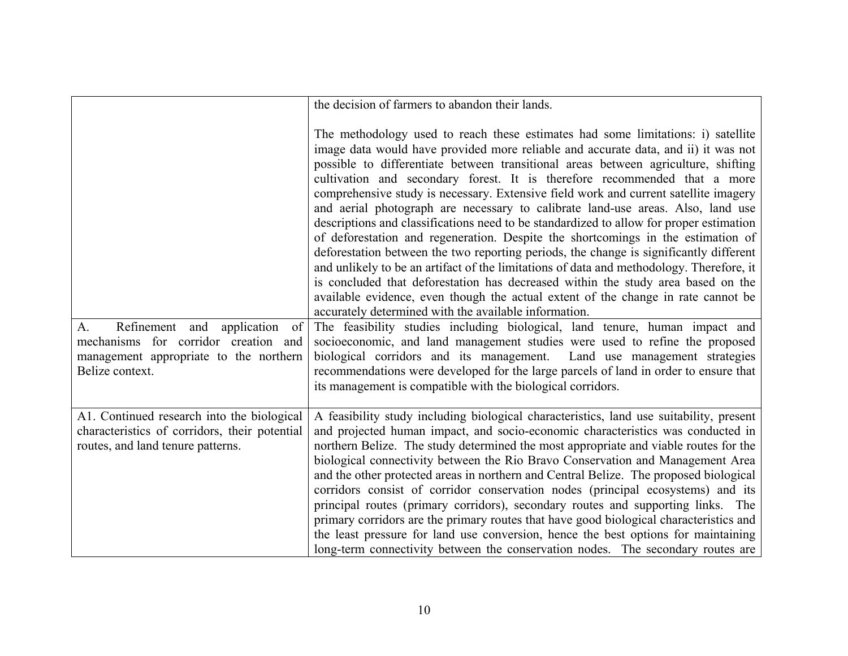|                                                                                                                                  | the decision of farmers to abandon their lands.                                                                                                                                                                                                                                                                                                                                                                                                                                                                                                                                                                                                                                                                                                                                                                                                                                                                                                                                                                                                                                                                                                                                                            |
|----------------------------------------------------------------------------------------------------------------------------------|------------------------------------------------------------------------------------------------------------------------------------------------------------------------------------------------------------------------------------------------------------------------------------------------------------------------------------------------------------------------------------------------------------------------------------------------------------------------------------------------------------------------------------------------------------------------------------------------------------------------------------------------------------------------------------------------------------------------------------------------------------------------------------------------------------------------------------------------------------------------------------------------------------------------------------------------------------------------------------------------------------------------------------------------------------------------------------------------------------------------------------------------------------------------------------------------------------|
| Refinement and application of<br>A.                                                                                              | The methodology used to reach these estimates had some limitations: i) satellite<br>image data would have provided more reliable and accurate data, and ii) it was not<br>possible to differentiate between transitional areas between agriculture, shifting<br>cultivation and secondary forest. It is therefore recommended that a more<br>comprehensive study is necessary. Extensive field work and current satellite imagery<br>and aerial photograph are necessary to calibrate land-use areas. Also, land use<br>descriptions and classifications need to be standardized to allow for proper estimation<br>of deforestation and regeneration. Despite the shortcomings in the estimation of<br>deforestation between the two reporting periods, the change is significantly different<br>and unlikely to be an artifact of the limitations of data and methodology. Therefore, it<br>is concluded that deforestation has decreased within the study area based on the<br>available evidence, even though the actual extent of the change in rate cannot be<br>accurately determined with the available information.<br>The feasibility studies including biological, land tenure, human impact and |
| mechanisms for corridor creation and<br>management appropriate to the northern<br>Belize context.                                | socioeconomic, and land management studies were used to refine the proposed<br>biological corridors and its management.<br>Land use management strategies<br>recommendations were developed for the large parcels of land in order to ensure that<br>its management is compatible with the biological corridors.                                                                                                                                                                                                                                                                                                                                                                                                                                                                                                                                                                                                                                                                                                                                                                                                                                                                                           |
| A1. Continued research into the biological<br>characteristics of corridors, their potential<br>routes, and land tenure patterns. | A feasibility study including biological characteristics, land use suitability, present<br>and projected human impact, and socio-economic characteristics was conducted in<br>northern Belize. The study determined the most appropriate and viable routes for the<br>biological connectivity between the Rio Bravo Conservation and Management Area<br>and the other protected areas in northern and Central Belize. The proposed biological<br>corridors consist of corridor conservation nodes (principal ecosystems) and its<br>principal routes (primary corridors), secondary routes and supporting links. The<br>primary corridors are the primary routes that have good biological characteristics and<br>the least pressure for land use conversion, hence the best options for maintaining<br>long-term connectivity between the conservation nodes. The secondary routes are                                                                                                                                                                                                                                                                                                                    |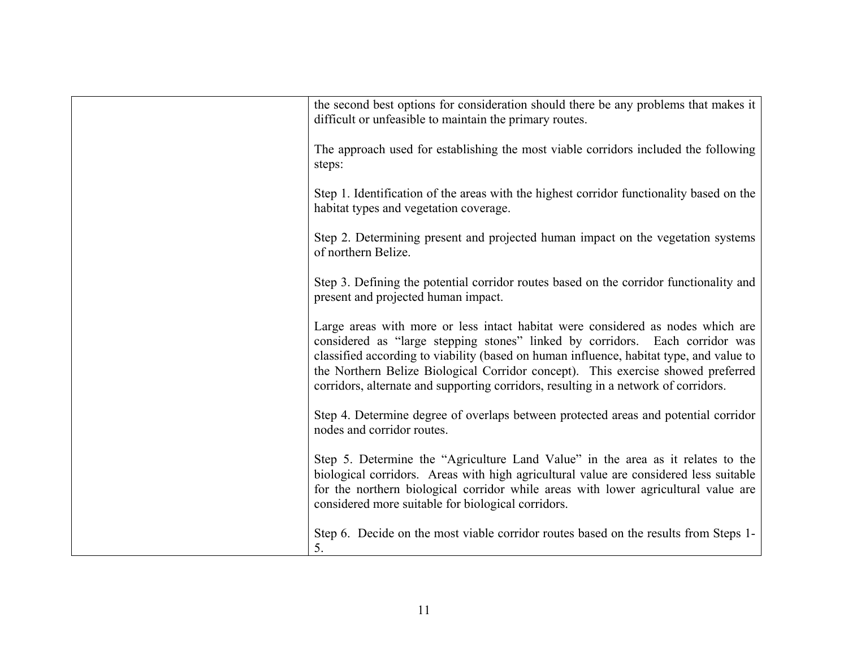| the second best options for consideration should there be any problems that makes it<br>difficult or unfeasible to maintain the primary routes.                                                                                                                                                                                                                                                                                       |
|---------------------------------------------------------------------------------------------------------------------------------------------------------------------------------------------------------------------------------------------------------------------------------------------------------------------------------------------------------------------------------------------------------------------------------------|
| The approach used for establishing the most viable corridors included the following<br>steps:                                                                                                                                                                                                                                                                                                                                         |
| Step 1. Identification of the areas with the highest corridor functionality based on the<br>habitat types and vegetation coverage.                                                                                                                                                                                                                                                                                                    |
| Step 2. Determining present and projected human impact on the vegetation systems<br>of northern Belize.                                                                                                                                                                                                                                                                                                                               |
| Step 3. Defining the potential corridor routes based on the corridor functionality and<br>present and projected human impact.                                                                                                                                                                                                                                                                                                         |
| Large areas with more or less intact habitat were considered as nodes which are<br>considered as "large stepping stones" linked by corridors. Each corridor was<br>classified according to viability (based on human influence, habitat type, and value to<br>the Northern Belize Biological Corridor concept). This exercise showed preferred<br>corridors, alternate and supporting corridors, resulting in a network of corridors. |
| Step 4. Determine degree of overlaps between protected areas and potential corridor<br>nodes and corridor routes.                                                                                                                                                                                                                                                                                                                     |
| Step 5. Determine the "Agriculture Land Value" in the area as it relates to the<br>biological corridors. Areas with high agricultural value are considered less suitable<br>for the northern biological corridor while areas with lower agricultural value are<br>considered more suitable for biological corridors.                                                                                                                  |
| Step 6. Decide on the most viable corridor routes based on the results from Steps 1-<br>5.                                                                                                                                                                                                                                                                                                                                            |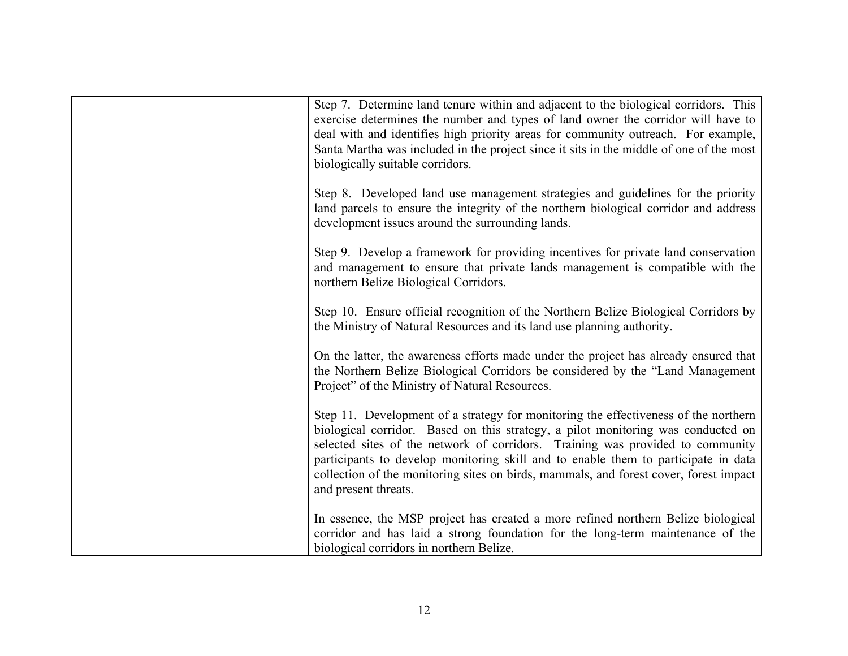| Step 7. Determine land tenure within and adjacent to the biological corridors. This<br>exercise determines the number and types of land owner the corridor will have to<br>deal with and identifies high priority areas for community outreach. For example,<br>Santa Martha was included in the project since it sits in the middle of one of the most<br>biologically suitable corridors.                                                                      |
|------------------------------------------------------------------------------------------------------------------------------------------------------------------------------------------------------------------------------------------------------------------------------------------------------------------------------------------------------------------------------------------------------------------------------------------------------------------|
| Step 8. Developed land use management strategies and guidelines for the priority<br>land parcels to ensure the integrity of the northern biological corridor and address<br>development issues around the surrounding lands.                                                                                                                                                                                                                                     |
| Step 9. Develop a framework for providing incentives for private land conservation<br>and management to ensure that private lands management is compatible with the<br>northern Belize Biological Corridors.                                                                                                                                                                                                                                                     |
| Step 10. Ensure official recognition of the Northern Belize Biological Corridors by<br>the Ministry of Natural Resources and its land use planning authority.                                                                                                                                                                                                                                                                                                    |
| On the latter, the awareness efforts made under the project has already ensured that<br>the Northern Belize Biological Corridors be considered by the "Land Management"<br>Project" of the Ministry of Natural Resources.                                                                                                                                                                                                                                        |
| Step 11. Development of a strategy for monitoring the effectiveness of the northern<br>biological corridor. Based on this strategy, a pilot monitoring was conducted on<br>selected sites of the network of corridors. Training was provided to community<br>participants to develop monitoring skill and to enable them to participate in data<br>collection of the monitoring sites on birds, mammals, and forest cover, forest impact<br>and present threats. |
| In essence, the MSP project has created a more refined northern Belize biological<br>corridor and has laid a strong foundation for the long-term maintenance of the<br>biological corridors in northern Belize.                                                                                                                                                                                                                                                  |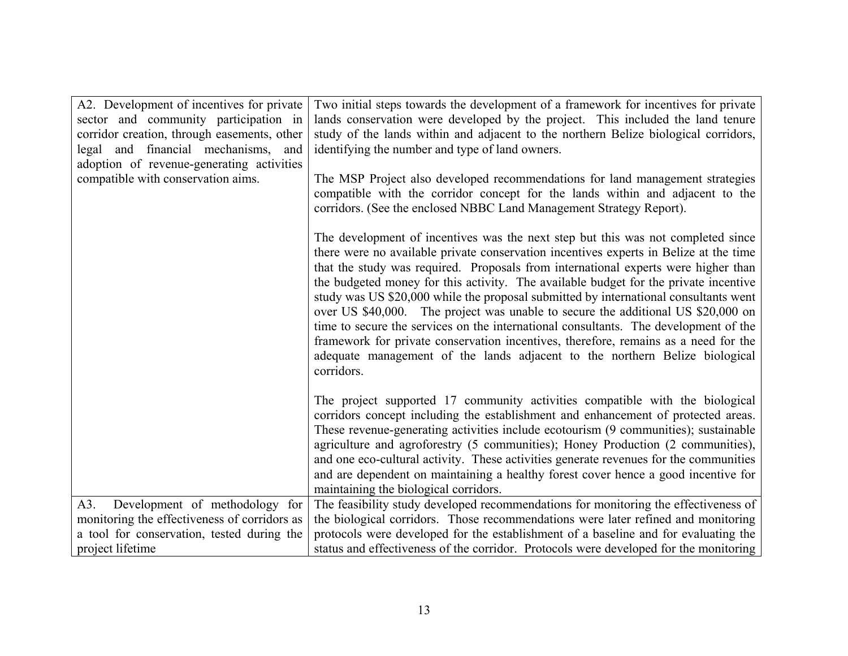| A2. Development of incentives for private    | Two initial steps towards the development of a framework for incentives for private                                                                                                                                                                                                                                                                                                                                                                                                                                                                                                                                                                                                                                                                                                                             |
|----------------------------------------------|-----------------------------------------------------------------------------------------------------------------------------------------------------------------------------------------------------------------------------------------------------------------------------------------------------------------------------------------------------------------------------------------------------------------------------------------------------------------------------------------------------------------------------------------------------------------------------------------------------------------------------------------------------------------------------------------------------------------------------------------------------------------------------------------------------------------|
| sector and community participation in        | lands conservation were developed by the project. This included the land tenure                                                                                                                                                                                                                                                                                                                                                                                                                                                                                                                                                                                                                                                                                                                                 |
| corridor creation, through easements, other  | study of the lands within and adjacent to the northern Belize biological corridors,                                                                                                                                                                                                                                                                                                                                                                                                                                                                                                                                                                                                                                                                                                                             |
| legal and financial mechanisms,<br>and       | identifying the number and type of land owners.                                                                                                                                                                                                                                                                                                                                                                                                                                                                                                                                                                                                                                                                                                                                                                 |
| adoption of revenue-generating activities    |                                                                                                                                                                                                                                                                                                                                                                                                                                                                                                                                                                                                                                                                                                                                                                                                                 |
| compatible with conservation aims.           | The MSP Project also developed recommendations for land management strategies<br>compatible with the corridor concept for the lands within and adjacent to the<br>corridors. (See the enclosed NBBC Land Management Strategy Report).                                                                                                                                                                                                                                                                                                                                                                                                                                                                                                                                                                           |
|                                              | The development of incentives was the next step but this was not completed since<br>there were no available private conservation incentives experts in Belize at the time<br>that the study was required. Proposals from international experts were higher than<br>the budgeted money for this activity. The available budget for the private incentive<br>study was US \$20,000 while the proposal submitted by international consultants went<br>over US \$40,000. The project was unable to secure the additional US \$20,000 on<br>time to secure the services on the international consultants. The development of the<br>framework for private conservation incentives, therefore, remains as a need for the<br>adequate management of the lands adjacent to the northern Belize biological<br>corridors. |
|                                              | The project supported 17 community activities compatible with the biological<br>corridors concept including the establishment and enhancement of protected areas.<br>These revenue-generating activities include ecotourism (9 communities); sustainable<br>agriculture and agroforestry (5 communities); Honey Production (2 communities),<br>and one eco-cultural activity. These activities generate revenues for the communities<br>and are dependent on maintaining a healthy forest cover hence a good incentive for<br>maintaining the biological corridors.                                                                                                                                                                                                                                             |
| Development of methodology for<br>A3.        | The feasibility study developed recommendations for monitoring the effectiveness of                                                                                                                                                                                                                                                                                                                                                                                                                                                                                                                                                                                                                                                                                                                             |
| monitoring the effectiveness of corridors as | the biological corridors. Those recommendations were later refined and monitoring                                                                                                                                                                                                                                                                                                                                                                                                                                                                                                                                                                                                                                                                                                                               |
| a tool for conservation, tested during the   | protocols were developed for the establishment of a baseline and for evaluating the                                                                                                                                                                                                                                                                                                                                                                                                                                                                                                                                                                                                                                                                                                                             |
| project lifetime                             | status and effectiveness of the corridor. Protocols were developed for the monitoring                                                                                                                                                                                                                                                                                                                                                                                                                                                                                                                                                                                                                                                                                                                           |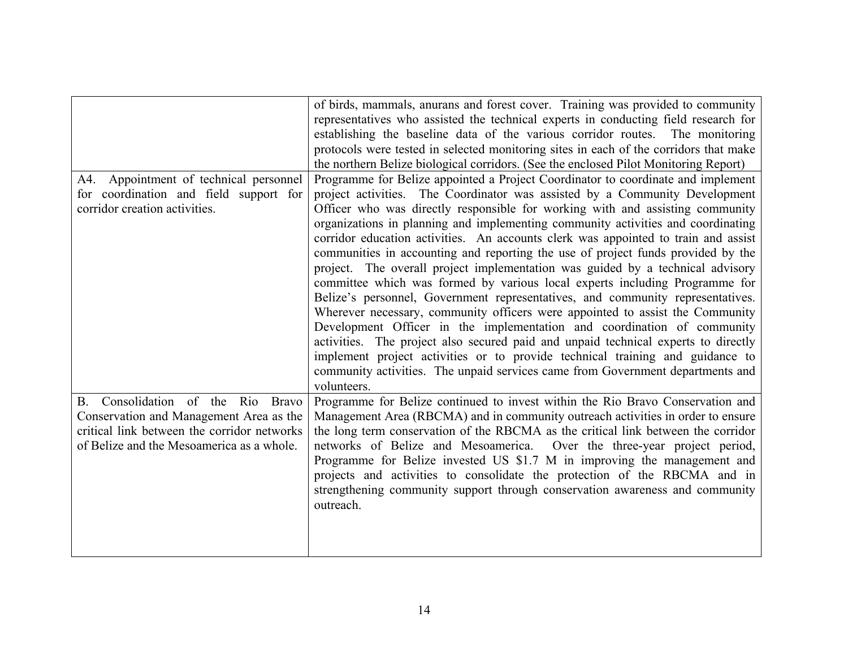|                                             | of birds, mammals, anurans and forest cover. Training was provided to community       |
|---------------------------------------------|---------------------------------------------------------------------------------------|
|                                             | representatives who assisted the technical experts in conducting field research for   |
|                                             | establishing the baseline data of the various corridor routes. The monitoring         |
|                                             | protocols were tested in selected monitoring sites in each of the corridors that make |
|                                             | the northern Belize biological corridors. (See the enclosed Pilot Monitoring Report)  |
| A4. Appointment of technical personnel      | Programme for Belize appointed a Project Coordinator to coordinate and implement      |
| for coordination and field support for      | project activities. The Coordinator was assisted by a Community Development           |
| corridor creation activities.               | Officer who was directly responsible for working with and assisting community         |
|                                             | organizations in planning and implementing community activities and coordinating      |
|                                             | corridor education activities. An accounts clerk was appointed to train and assist    |
|                                             | communities in accounting and reporting the use of project funds provided by the      |
|                                             | project. The overall project implementation was guided by a technical advisory        |
|                                             | committee which was formed by various local experts including Programme for           |
|                                             | Belize's personnel, Government representatives, and community representatives.        |
|                                             | Wherever necessary, community officers were appointed to assist the Community         |
|                                             | Development Officer in the implementation and coordination of community               |
|                                             | activities. The project also secured paid and unpaid technical experts to directly    |
|                                             | implement project activities or to provide technical training and guidance to         |
|                                             | community activities. The unpaid services came from Government departments and        |
|                                             | volunteers.                                                                           |
| Consolidation of the Rio Bravo<br><b>B.</b> | Programme for Belize continued to invest within the Rio Bravo Conservation and        |
| Conservation and Management Area as the     | Management Area (RBCMA) and in community outreach activities in order to ensure       |
| critical link between the corridor networks | the long term conservation of the RBCMA as the critical link between the corridor     |
| of Belize and the Mesoamerica as a whole.   | networks of Belize and Mesoamerica. Over the three-year project period,               |
|                                             | Programme for Belize invested US \$1.7 M in improving the management and              |
|                                             | projects and activities to consolidate the protection of the RBCMA and in             |
|                                             | strengthening community support through conservation awareness and community          |
|                                             | outreach.                                                                             |
|                                             |                                                                                       |
|                                             |                                                                                       |
|                                             |                                                                                       |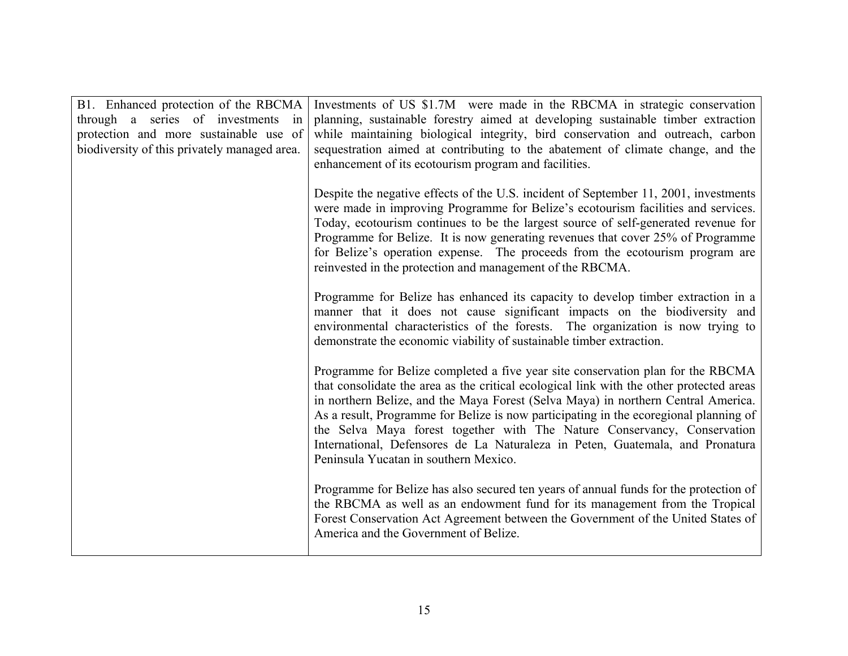| B1. Enhanced protection of the RBCMA<br>through a series of investments in<br>protection and more sustainable use of<br>biodiversity of this privately managed area. | Investments of US \$1.7M were made in the RBCMA in strategic conservation<br>planning, sustainable forestry aimed at developing sustainable timber extraction<br>while maintaining biological integrity, bird conservation and outreach, carbon<br>sequestration aimed at contributing to the abatement of climate change, and the<br>enhancement of its ecotourism program and facilities.                                                                                                                                                                     |
|----------------------------------------------------------------------------------------------------------------------------------------------------------------------|-----------------------------------------------------------------------------------------------------------------------------------------------------------------------------------------------------------------------------------------------------------------------------------------------------------------------------------------------------------------------------------------------------------------------------------------------------------------------------------------------------------------------------------------------------------------|
|                                                                                                                                                                      | Despite the negative effects of the U.S. incident of September 11, 2001, investments<br>were made in improving Programme for Belize's ecotourism facilities and services.<br>Today, ecotourism continues to be the largest source of self-generated revenue for<br>Programme for Belize. It is now generating revenues that cover 25% of Programme<br>for Belize's operation expense. The proceeds from the ecotourism program are<br>reinvested in the protection and management of the RBCMA.                                                                 |
|                                                                                                                                                                      | Programme for Belize has enhanced its capacity to develop timber extraction in a<br>manner that it does not cause significant impacts on the biodiversity and<br>environmental characteristics of the forests. The organization is now trying to<br>demonstrate the economic viability of sustainable timber extraction.                                                                                                                                                                                                                                        |
|                                                                                                                                                                      | Programme for Belize completed a five year site conservation plan for the RBCMA<br>that consolidate the area as the critical ecological link with the other protected areas<br>in northern Belize, and the Maya Forest (Selva Maya) in northern Central America.<br>As a result, Programme for Belize is now participating in the ecoregional planning of<br>the Selva Maya forest together with The Nature Conservancy, Conservation<br>International, Defensores de La Naturaleza in Peten, Guatemala, and Pronatura<br>Peninsula Yucatan in southern Mexico. |
|                                                                                                                                                                      | Programme for Belize has also secured ten years of annual funds for the protection of<br>the RBCMA as well as an endowment fund for its management from the Tropical<br>Forest Conservation Act Agreement between the Government of the United States of<br>America and the Government of Belize.                                                                                                                                                                                                                                                               |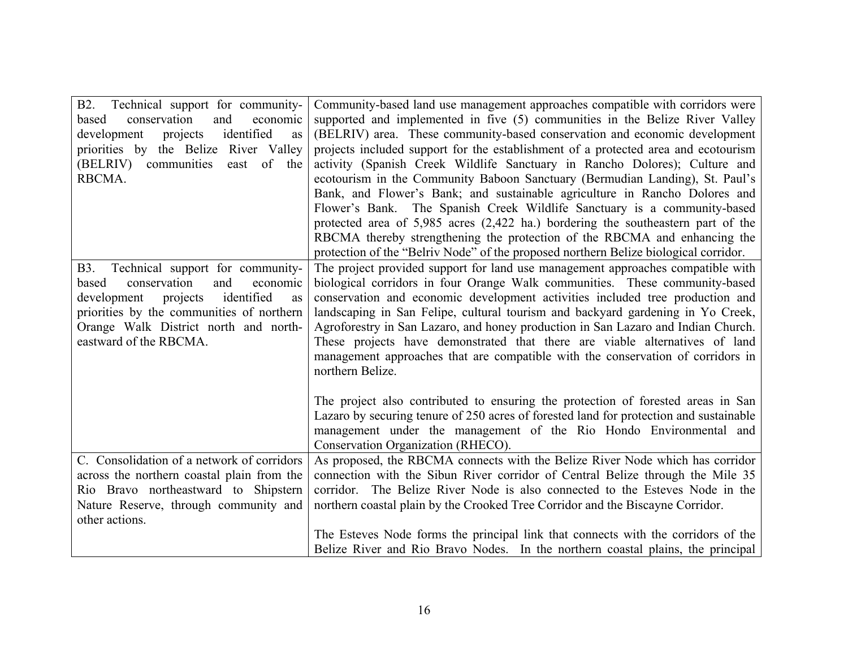| B2.<br>Technical support for community-         | Community-based land use management approaches compatible with corridors were          |
|-------------------------------------------------|----------------------------------------------------------------------------------------|
| conservation<br>and<br>economic<br>based        | supported and implemented in five (5) communities in the Belize River Valley           |
| identified<br>projects<br>development<br>as     | (BELRIV) area. These community-based conservation and economic development             |
| priorities by the Belize River Valley           | projects included support for the establishment of a protected area and ecotourism     |
| (BELRIV) communities<br>east of the             | activity (Spanish Creek Wildlife Sanctuary in Rancho Dolores); Culture and             |
| RBCMA.                                          | ecotourism in the Community Baboon Sanctuary (Bermudian Landing), St. Paul's           |
|                                                 | Bank, and Flower's Bank; and sustainable agriculture in Rancho Dolores and             |
|                                                 | Flower's Bank. The Spanish Creek Wildlife Sanctuary is a community-based               |
|                                                 | protected area of 5,985 acres (2,422 ha.) bordering the southeastern part of the       |
|                                                 | RBCMA thereby strengthening the protection of the RBCMA and enhancing the              |
|                                                 | protection of the "Belriv Node" of the proposed northern Belize biological corridor.   |
| Technical support for community-<br><b>B</b> 3. | The project provided support for land use management approaches compatible with        |
| conservation<br>and<br>based<br>economic        | biological corridors in four Orange Walk communities. These community-based            |
| projects<br>identified<br>development<br>as     | conservation and economic development activities included tree production and          |
| priorities by the communities of northern       | landscaping in San Felipe, cultural tourism and backyard gardening in Yo Creek,        |
| Orange Walk District north and north-           | Agroforestry in San Lazaro, and honey production in San Lazaro and Indian Church.      |
| eastward of the RBCMA.                          | These projects have demonstrated that there are viable alternatives of land            |
|                                                 | management approaches that are compatible with the conservation of corridors in        |
|                                                 | northern Belize.                                                                       |
|                                                 |                                                                                        |
|                                                 | The project also contributed to ensuring the protection of forested areas in San       |
|                                                 | Lazaro by securing tenure of 250 acres of forested land for protection and sustainable |
|                                                 | management under the management of the Rio Hondo Environmental and                     |
|                                                 | Conservation Organization (RHECO).                                                     |
| C. Consolidation of a network of corridors      | As proposed, the RBCMA connects with the Belize River Node which has corridor          |
| across the northern coastal plain from the      | connection with the Sibun River corridor of Central Belize through the Mile 35         |
| Rio Bravo northeastward to Shipstern            | corridor. The Belize River Node is also connected to the Esteves Node in the           |
| Nature Reserve, through community and           | northern coastal plain by the Crooked Tree Corridor and the Biscayne Corridor.         |
| other actions.                                  |                                                                                        |
|                                                 | The Esteves Node forms the principal link that connects with the corridors of the      |
|                                                 | Belize River and Rio Bravo Nodes. In the northern coastal plains, the principal        |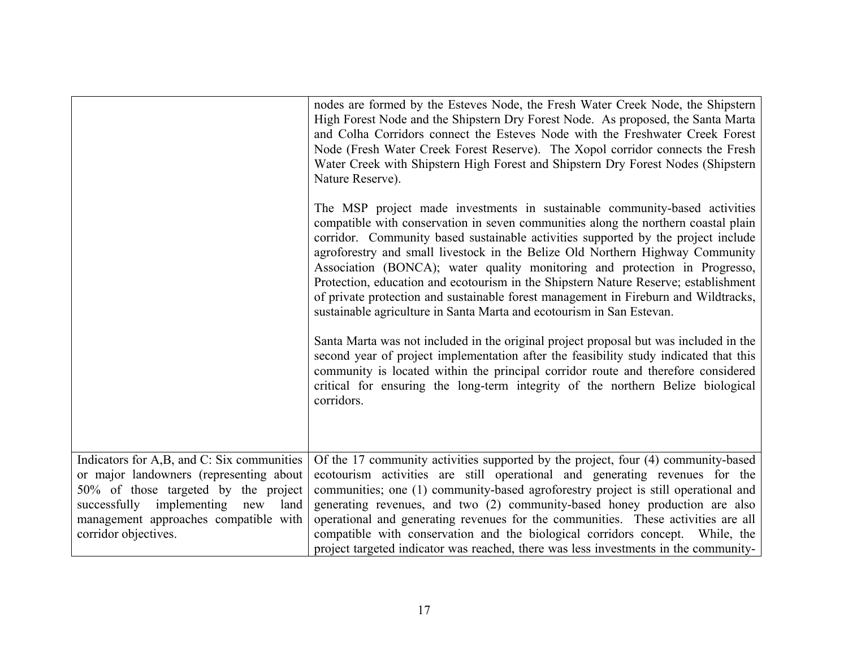|                                                                                                                                                                                                                                            | nodes are formed by the Esteves Node, the Fresh Water Creek Node, the Shipstern<br>High Forest Node and the Shipstern Dry Forest Node. As proposed, the Santa Marta<br>and Colha Corridors connect the Esteves Node with the Freshwater Creek Forest<br>Node (Fresh Water Creek Forest Reserve). The Xopol corridor connects the Fresh<br>Water Creek with Shipstern High Forest and Shipstern Dry Forest Nodes (Shipstern<br>Nature Reserve).                                                                                                                                                                                                                              |
|--------------------------------------------------------------------------------------------------------------------------------------------------------------------------------------------------------------------------------------------|-----------------------------------------------------------------------------------------------------------------------------------------------------------------------------------------------------------------------------------------------------------------------------------------------------------------------------------------------------------------------------------------------------------------------------------------------------------------------------------------------------------------------------------------------------------------------------------------------------------------------------------------------------------------------------|
|                                                                                                                                                                                                                                            | The MSP project made investments in sustainable community-based activities<br>compatible with conservation in seven communities along the northern coastal plain<br>corridor. Community based sustainable activities supported by the project include<br>agroforestry and small livestock in the Belize Old Northern Highway Community<br>Association (BONCA); water quality monitoring and protection in Progresso,<br>Protection, education and ecotourism in the Shipstern Nature Reserve; establishment<br>of private protection and sustainable forest management in Fireburn and Wildtracks,<br>sustainable agriculture in Santa Marta and ecotourism in San Estevan. |
|                                                                                                                                                                                                                                            | Santa Marta was not included in the original project proposal but was included in the<br>second year of project implementation after the feasibility study indicated that this<br>community is located within the principal corridor route and therefore considered<br>critical for ensuring the long-term integrity of the northern Belize biological<br>corridors.                                                                                                                                                                                                                                                                                                        |
| Indicators for A,B, and C: Six communities<br>or major landowners (representing about<br>50% of those targeted by the project<br>successfully implementing<br>new<br>land<br>management approaches compatible with<br>corridor objectives. | Of the 17 community activities supported by the project, four (4) community-based<br>ecotourism activities are still operational and generating revenues for the<br>communities; one (1) community-based agroforestry project is still operational and<br>generating revenues, and two (2) community-based honey production are also<br>operational and generating revenues for the communities. These activities are all<br>compatible with conservation and the biological corridors concept. While, the<br>project targeted indicator was reached, there was less investments in the community-                                                                          |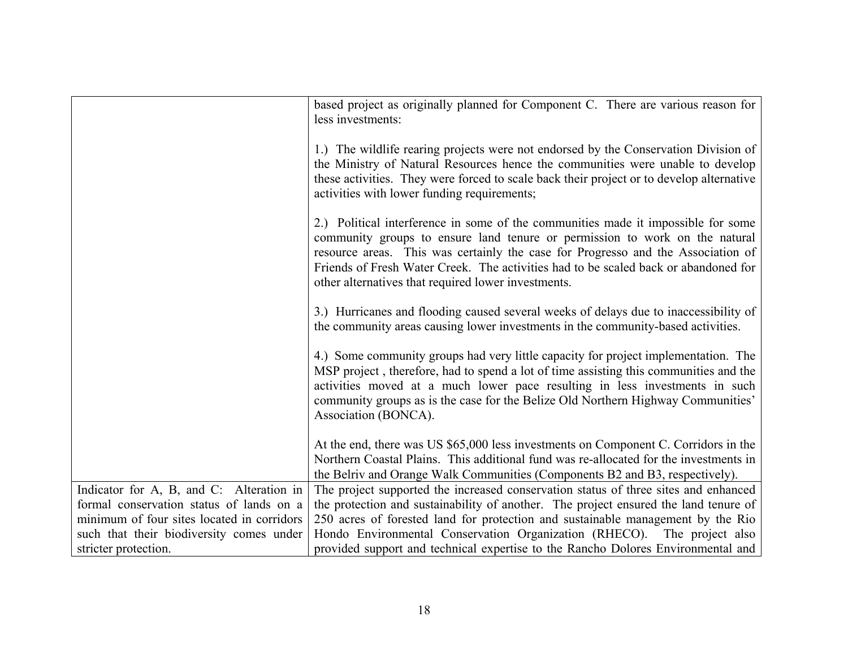|                                            | based project as originally planned for Component C. There are various reason for<br>less investments:                                                                                                                                                                                                                                                                                             |
|--------------------------------------------|----------------------------------------------------------------------------------------------------------------------------------------------------------------------------------------------------------------------------------------------------------------------------------------------------------------------------------------------------------------------------------------------------|
|                                            | 1.) The wildlife rearing projects were not endorsed by the Conservation Division of<br>the Ministry of Natural Resources hence the communities were unable to develop<br>these activities. They were forced to scale back their project or to develop alternative<br>activities with lower funding requirements;                                                                                   |
|                                            | 2.) Political interference in some of the communities made it impossible for some<br>community groups to ensure land tenure or permission to work on the natural<br>resource areas. This was certainly the case for Progresso and the Association of<br>Friends of Fresh Water Creek. The activities had to be scaled back or abandoned for<br>other alternatives that required lower investments. |
|                                            | 3.) Hurricanes and flooding caused several weeks of delays due to inaccessibility of<br>the community areas causing lower investments in the community-based activities.                                                                                                                                                                                                                           |
|                                            | 4.) Some community groups had very little capacity for project implementation. The<br>MSP project, therefore, had to spend a lot of time assisting this communities and the<br>activities moved at a much lower pace resulting in less investments in such<br>community groups as is the case for the Belize Old Northern Highway Communities'<br>Association (BONCA).                             |
|                                            | At the end, there was US \$65,000 less investments on Component C. Corridors in the<br>Northern Coastal Plains. This additional fund was re-allocated for the investments in<br>the Belriv and Orange Walk Communities (Components B2 and B3, respectively).                                                                                                                                       |
| Indicator for A, B, and C: Alteration in   | The project supported the increased conservation status of three sites and enhanced                                                                                                                                                                                                                                                                                                                |
| formal conservation status of lands on a   | the protection and sustainability of another. The project ensured the land tenure of                                                                                                                                                                                                                                                                                                               |
| minimum of four sites located in corridors | 250 acres of forested land for protection and sustainable management by the Rio                                                                                                                                                                                                                                                                                                                    |
| such that their biodiversity comes under   | Hondo Environmental Conservation Organization (RHECO).<br>The project also                                                                                                                                                                                                                                                                                                                         |
| stricter protection.                       | provided support and technical expertise to the Rancho Dolores Environmental and                                                                                                                                                                                                                                                                                                                   |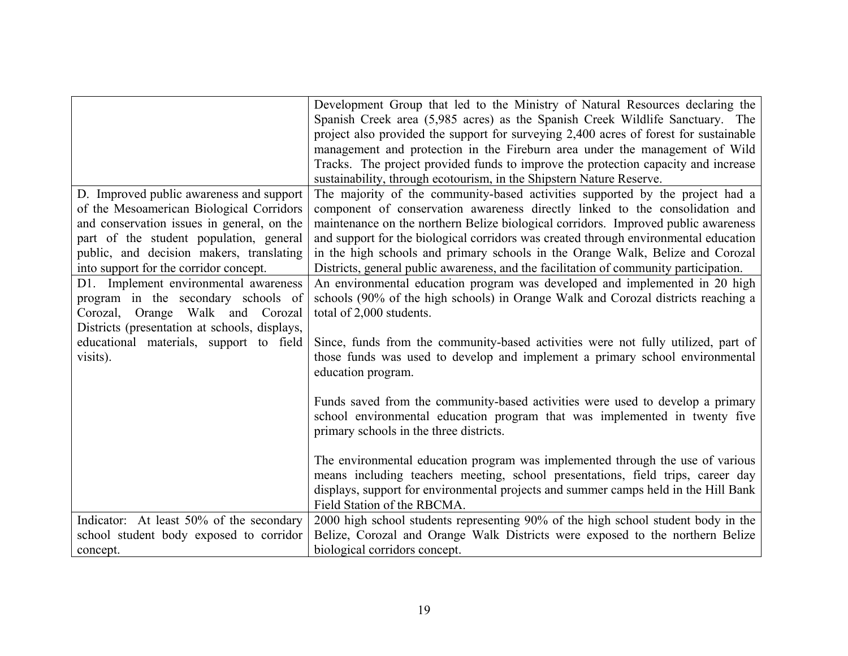|                                               | Development Group that led to the Ministry of Natural Resources declaring the         |
|-----------------------------------------------|---------------------------------------------------------------------------------------|
|                                               | Spanish Creek area (5,985 acres) as the Spanish Creek Wildlife Sanctuary. The         |
|                                               | project also provided the support for surveying 2,400 acres of forest for sustainable |
|                                               | management and protection in the Fireburn area under the management of Wild           |
|                                               | Tracks. The project provided funds to improve the protection capacity and increase    |
|                                               | sustainability, through ecotourism, in the Shipstern Nature Reserve.                  |
| D. Improved public awareness and support      | The majority of the community-based activities supported by the project had a         |
| of the Mesoamerican Biological Corridors      | component of conservation awareness directly linked to the consolidation and          |
| and conservation issues in general, on the    | maintenance on the northern Belize biological corridors. Improved public awareness    |
| part of the student population, general       | and support for the biological corridors was created through environmental education  |
| public, and decision makers, translating      | in the high schools and primary schools in the Orange Walk, Belize and Corozal        |
| into support for the corridor concept.        | Districts, general public awareness, and the facilitation of community participation. |
| D1. Implement environmental awareness         | An environmental education program was developed and implemented in 20 high           |
| program in the secondary schools of           | schools (90% of the high schools) in Orange Walk and Corozal districts reaching a     |
| Corozal, Orange Walk and Corozal              | total of 2,000 students.                                                              |
| Districts (presentation at schools, displays, |                                                                                       |
| educational materials, support to field       | Since, funds from the community-based activities were not fully utilized, part of     |
| visits).                                      | those funds was used to develop and implement a primary school environmental          |
|                                               | education program.                                                                    |
|                                               |                                                                                       |
|                                               | Funds saved from the community-based activities were used to develop a primary        |
|                                               | school environmental education program that was implemented in twenty five            |
|                                               | primary schools in the three districts.                                               |
|                                               |                                                                                       |
|                                               | The environmental education program was implemented through the use of various        |
|                                               | means including teachers meeting, school presentations, field trips, career day       |
|                                               | displays, support for environmental projects and summer camps held in the Hill Bank   |
|                                               | Field Station of the RBCMA.                                                           |
| Indicator: At least 50% of the secondary      | 2000 high school students representing 90% of the high school student body in the     |
| school student body exposed to corridor       | Belize, Corozal and Orange Walk Districts were exposed to the northern Belize         |
| concept.                                      | biological corridors concept.                                                         |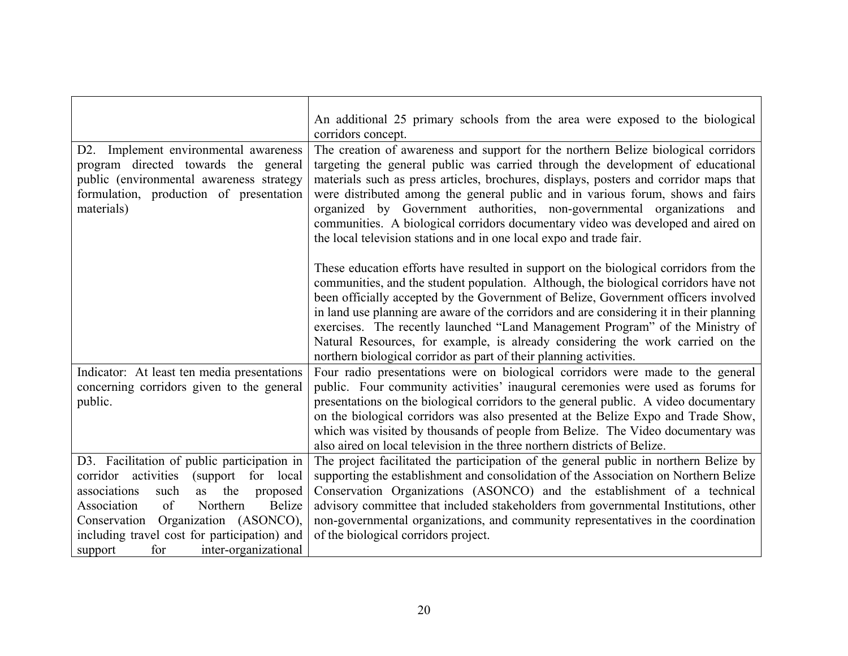|                                               | An additional 25 primary schools from the area were exposed to the biological            |
|-----------------------------------------------|------------------------------------------------------------------------------------------|
|                                               | corridors concept.                                                                       |
| Implement environmental awareness<br>D2.      | The creation of awareness and support for the northern Belize biological corridors       |
| program directed towards the general          | targeting the general public was carried through the development of educational          |
| public (environmental awareness strategy      | materials such as press articles, brochures, displays, posters and corridor maps that    |
| formulation, production of presentation       | were distributed among the general public and in various forum, shows and fairs          |
| materials)                                    | organized by Government authorities, non-governmental organizations and                  |
|                                               | communities. A biological corridors documentary video was developed and aired on         |
|                                               | the local television stations and in one local expo and trade fair.                      |
|                                               |                                                                                          |
|                                               | These education efforts have resulted in support on the biological corridors from the    |
|                                               | communities, and the student population. Although, the biological corridors have not     |
|                                               | been officially accepted by the Government of Belize, Government officers involved       |
|                                               | in land use planning are aware of the corridors and are considering it in their planning |
|                                               | exercises. The recently launched "Land Management Program" of the Ministry of            |
|                                               | Natural Resources, for example, is already considering the work carried on the           |
|                                               | northern biological corridor as part of their planning activities.                       |
| Indicator: At least ten media presentations   | Four radio presentations were on biological corridors were made to the general           |
| concerning corridors given to the general     | public. Four community activities' inaugural ceremonies were used as forums for          |
| public.                                       | presentations on the biological corridors to the general public. A video documentary     |
|                                               | on the biological corridors was also presented at the Belize Expo and Trade Show,        |
|                                               | which was visited by thousands of people from Belize. The Video documentary was          |
|                                               | also aired on local television in the three northern districts of Belize.                |
| D3. Facilitation of public participation in   | The project facilitated the participation of the general public in northern Belize by    |
| corridor activities<br>(support for local     | supporting the establishment and consolidation of the Association on Northern Belize     |
| the<br>such<br>as<br>associations<br>proposed | Conservation Organizations (ASONCO) and the establishment of a technical                 |
| Association<br>of<br>Northern<br>Belize       | advisory committee that included stakeholders from governmental Institutions, other      |
| Conservation Organization (ASONCO),           | non-governmental organizations, and community representatives in the coordination        |
| including travel cost for participation) and  | of the biological corridors project.                                                     |
| support<br>for<br>inter-organizational        |                                                                                          |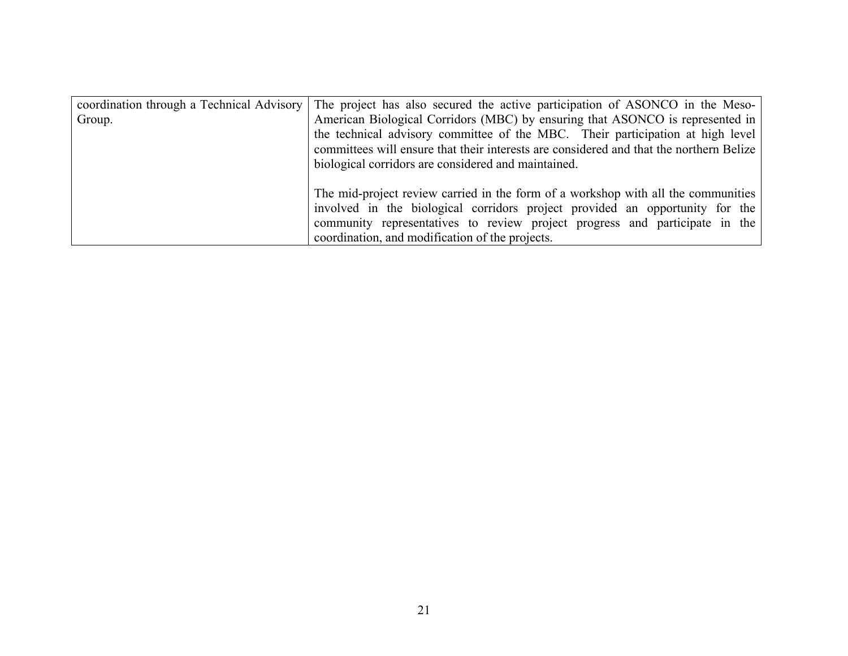| coordination through a Technical Advisory | The project has also secured the active participation of ASONCO in the Meso-                                                                                                                                                                                                                                      |
|-------------------------------------------|-------------------------------------------------------------------------------------------------------------------------------------------------------------------------------------------------------------------------------------------------------------------------------------------------------------------|
| Group.                                    | American Biological Corridors (MBC) by ensuring that ASONCO is represented in<br>the technical advisory committee of the MBC. Their participation at high level<br>committees will ensure that their interests are considered and that the northern Belize<br>biological corridors are considered and maintained. |
|                                           | The mid-project review carried in the form of a workshop with all the communities  <br>involved in the biological corridors project provided an opportunity for the<br>community representatives to review project progress and participate in the<br>coordination, and modification of the projects.             |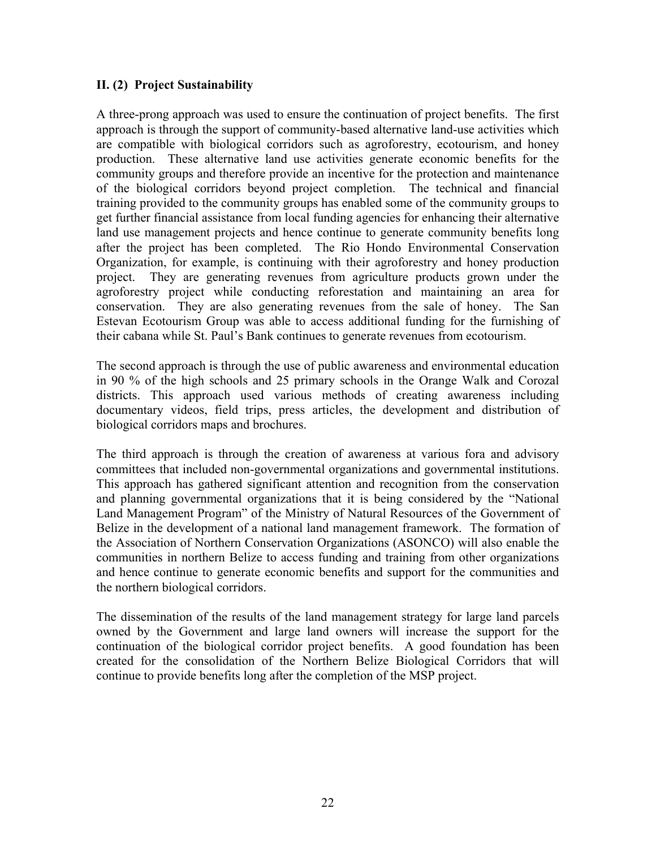### **II. (2) Project Sustainability**

A three-prong approach was used to ensure the continuation of project benefits. The first approach is through the support of community-based alternative land-use activities which are compatible with biological corridors such as agroforestry, ecotourism, and honey production. These alternative land use activities generate economic benefits for the community groups and therefore provide an incentive for the protection and maintenance of the biological corridors beyond project completion. The technical and financial training provided to the community groups has enabled some of the community groups to get further financial assistance from local funding agencies for enhancing their alternative land use management projects and hence continue to generate community benefits long after the project has been completed. The Rio Hondo Environmental Conservation Organization, for example, is continuing with their agroforestry and honey production project. They are generating revenues from agriculture products grown under the agroforestry project while conducting reforestation and maintaining an area for conservation. They are also generating revenues from the sale of honey. The San Estevan Ecotourism Group was able to access additional funding for the furnishing of their cabana while St. Paul's Bank continues to generate revenues from ecotourism.

The second approach is through the use of public awareness and environmental education in 90 % of the high schools and 25 primary schools in the Orange Walk and Corozal districts. This approach used various methods of creating awareness including documentary videos, field trips, press articles, the development and distribution of biological corridors maps and brochures.

The third approach is through the creation of awareness at various fora and advisory committees that included non-governmental organizations and governmental institutions. This approach has gathered significant attention and recognition from the conservation and planning governmental organizations that it is being considered by the "National Land Management Program" of the Ministry of Natural Resources of the Government of Belize in the development of a national land management framework. The formation of the Association of Northern Conservation Organizations (ASONCO) will also enable the communities in northern Belize to access funding and training from other organizations and hence continue to generate economic benefits and support for the communities and the northern biological corridors.

The dissemination of the results of the land management strategy for large land parcels owned by the Government and large land owners will increase the support for the continuation of the biological corridor project benefits. A good foundation has been created for the consolidation of the Northern Belize Biological Corridors that will continue to provide benefits long after the completion of the MSP project.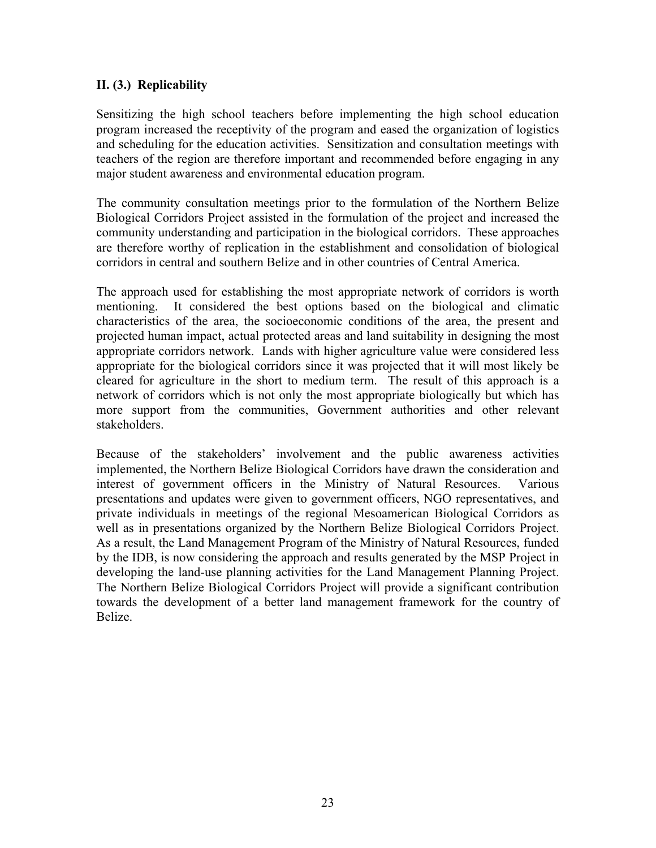# **II. (3.) Replicability**

Sensitizing the high school teachers before implementing the high school education program increased the receptivity of the program and eased the organization of logistics and scheduling for the education activities. Sensitization and consultation meetings with teachers of the region are therefore important and recommended before engaging in any major student awareness and environmental education program.

The community consultation meetings prior to the formulation of the Northern Belize Biological Corridors Project assisted in the formulation of the project and increased the community understanding and participation in the biological corridors. These approaches are therefore worthy of replication in the establishment and consolidation of biological corridors in central and southern Belize and in other countries of Central America.

The approach used for establishing the most appropriate network of corridors is worth mentioning. It considered the best options based on the biological and climatic characteristics of the area, the socioeconomic conditions of the area, the present and projected human impact, actual protected areas and land suitability in designing the most appropriate corridors network. Lands with higher agriculture value were considered less appropriate for the biological corridors since it was projected that it will most likely be cleared for agriculture in the short to medium term. The result of this approach is a network of corridors which is not only the most appropriate biologically but which has more support from the communities, Government authorities and other relevant stakeholders.

Because of the stakeholders' involvement and the public awareness activities implemented, the Northern Belize Biological Corridors have drawn the consideration and interest of government officers in the Ministry of Natural Resources. Various presentations and updates were given to government officers, NGO representatives, and private individuals in meetings of the regional Mesoamerican Biological Corridors as well as in presentations organized by the Northern Belize Biological Corridors Project. As a result, the Land Management Program of the Ministry of Natural Resources, funded by the IDB, is now considering the approach and results generated by the MSP Project in developing the land-use planning activities for the Land Management Planning Project. The Northern Belize Biological Corridors Project will provide a significant contribution towards the development of a better land management framework for the country of Belize.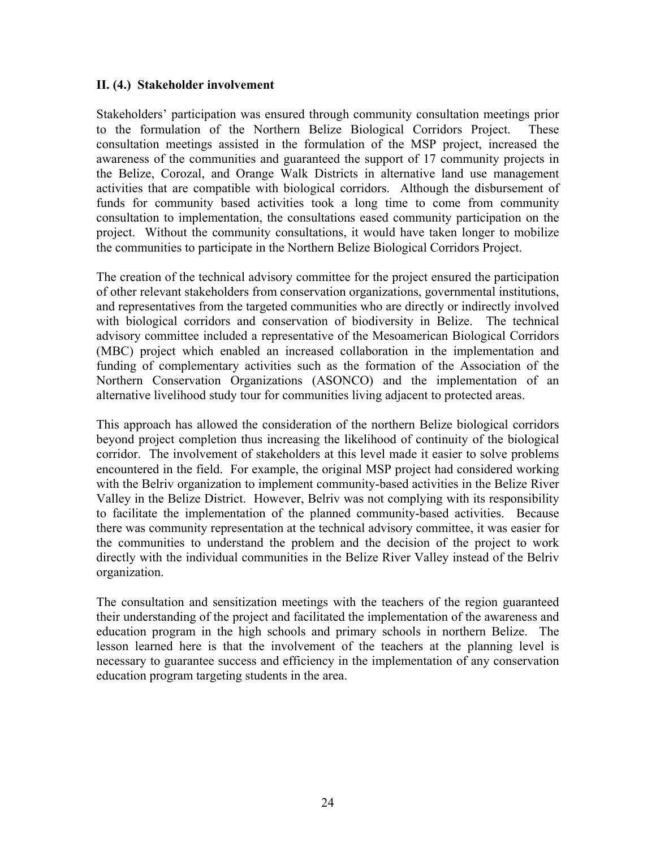#### **II. (4.) Stakeholder involvement**

Stakeholders' participation was ensured through community consultation meetings prior to the formulation of the Northern Belize Biological Corridors Project. These consultation meetings assisted in the formulation of the MSP project, increased the awareness of the communities and guaranteed the support of 17 community projects in the Belize, Corozal, and Orange Walk Districts in alternative land use management activities that are compatible with biological corridors. Although the disbursement of funds for community based activities took a long time to come from community consultation to implementation, the consultations eased community participation on the project. Without the community consultations, it would have taken longer to mobilize the communities to participate in the Northern Belize Biological Corridors Project.

The creation of the technical advisory committee for the project ensured the participation of other relevant stakeholders from conservation organizations, governmental institutions, and representatives from the targeted communities who are directly or indirectly involved with biological corridors and conservation of biodiversity in Belize. The technical advisory committee included a representative of the Mesoamerican Biological Corridors (MBC) project which enabled an increased collaboration in the implementation and funding of complementary activities such as the formation of the Association of the Northern Conservation Organizations (ASONCO) and the implementation of an alternative livelihood study tour for communities living adjacent to protected areas.

This approach has allowed the consideration of the northern Belize biological corridors beyond project completion thus increasing the likelihood of continuity of the biological corridor. The involvement of stakeholders at this level made it easier to solve problems encountered in the field. For example, the original MSP project had considered working with the Belriv organization to implement community-based activities in the Belize River Valley in the Belize District. However, Belriv was not complying with its responsibility to facilitate the implementation of the planned community-based activities. Because there was community representation at the technical advisory committee, it was easier for the communities to understand the problem and the decision of the project to work directly with the individual communities in the Belize River Valley instead of the Belriv organization.

The consultation and sensitization meetings with the teachers of the region guaranteed their understanding of the project and facilitated the implementation of the awareness and education program in the high schools and primary schools in northern Belize. The lesson learned here is that the involvement of the teachers at the planning level is necessary to guarantee success and efficiency in the implementation of any conservation education program targeting students in the area.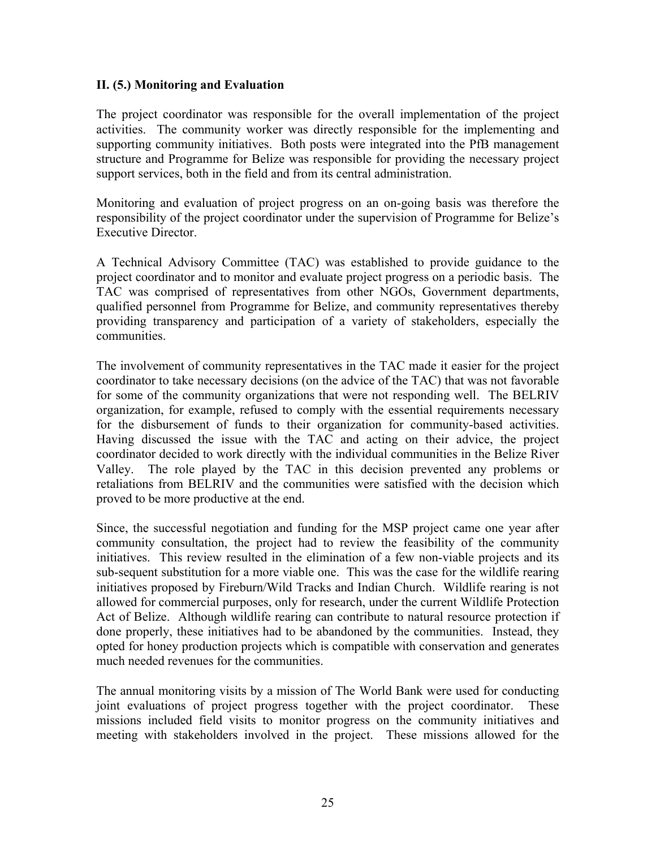#### **II. (5.) Monitoring and Evaluation**

The project coordinator was responsible for the overall implementation of the project activities. The community worker was directly responsible for the implementing and supporting community initiatives. Both posts were integrated into the PfB management structure and Programme for Belize was responsible for providing the necessary project support services, both in the field and from its central administration.

Monitoring and evaluation of project progress on an on-going basis was therefore the responsibility of the project coordinator under the supervision of Programme for Belize's Executive Director.

A Technical Advisory Committee (TAC) was established to provide guidance to the project coordinator and to monitor and evaluate project progress on a periodic basis. The TAC was comprised of representatives from other NGOs, Government departments, qualified personnel from Programme for Belize, and community representatives thereby providing transparency and participation of a variety of stakeholders, especially the communities.

The involvement of community representatives in the TAC made it easier for the project coordinator to take necessary decisions (on the advice of the TAC) that was not favorable for some of the community organizations that were not responding well. The BELRIV organization, for example, refused to comply with the essential requirements necessary for the disbursement of funds to their organization for community-based activities. Having discussed the issue with the TAC and acting on their advice, the project coordinator decided to work directly with the individual communities in the Belize River Valley. The role played by the TAC in this decision prevented any problems or retaliations from BELRIV and the communities were satisfied with the decision which proved to be more productive at the end.

Since, the successful negotiation and funding for the MSP project came one year after community consultation, the project had to review the feasibility of the community initiatives. This review resulted in the elimination of a few non-viable projects and its sub-sequent substitution for a more viable one. This was the case for the wildlife rearing initiatives proposed by Fireburn/Wild Tracks and Indian Church. Wildlife rearing is not allowed for commercial purposes, only for research, under the current Wildlife Protection Act of Belize. Although wildlife rearing can contribute to natural resource protection if done properly, these initiatives had to be abandoned by the communities. Instead, they opted for honey production projects which is compatible with conservation and generates much needed revenues for the communities.

The annual monitoring visits by a mission of The World Bank were used for conducting joint evaluations of project progress together with the project coordinator. These missions included field visits to monitor progress on the community initiatives and meeting with stakeholders involved in the project. These missions allowed for the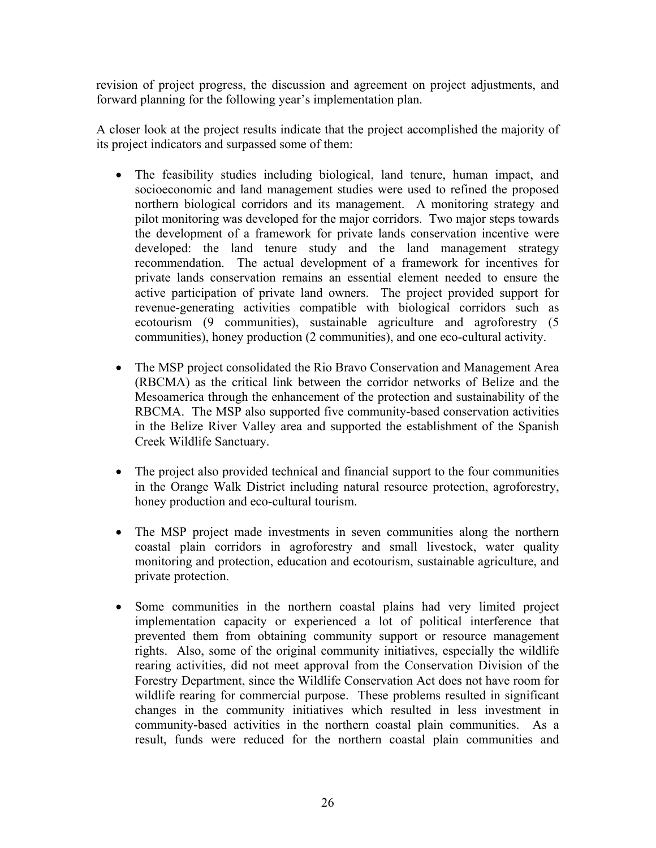revision of project progress, the discussion and agreement on project adjustments, and forward planning for the following year's implementation plan.

A closer look at the project results indicate that the project accomplished the majority of its project indicators and surpassed some of them:

- The feasibility studies including biological, land tenure, human impact, and socioeconomic and land management studies were used to refined the proposed northern biological corridors and its management. A monitoring strategy and pilot monitoring was developed for the major corridors. Two major steps towards the development of a framework for private lands conservation incentive were developed: the land tenure study and the land management strategy recommendation. The actual development of a framework for incentives for private lands conservation remains an essential element needed to ensure the active participation of private land owners. The project provided support for revenue-generating activities compatible with biological corridors such as ecotourism (9 communities), sustainable agriculture and agroforestry (5 communities), honey production (2 communities), and one eco-cultural activity.
- The MSP project consolidated the Rio Bravo Conservation and Management Area (RBCMA) as the critical link between the corridor networks of Belize and the Mesoamerica through the enhancement of the protection and sustainability of the RBCMA. The MSP also supported five community-based conservation activities in the Belize River Valley area and supported the establishment of the Spanish Creek Wildlife Sanctuary.
- The project also provided technical and financial support to the four communities in the Orange Walk District including natural resource protection, agroforestry, honey production and eco-cultural tourism.
- The MSP project made investments in seven communities along the northern coastal plain corridors in agroforestry and small livestock, water quality monitoring and protection, education and ecotourism, sustainable agriculture, and private protection.
- Some communities in the northern coastal plains had very limited project implementation capacity or experienced a lot of political interference that prevented them from obtaining community support or resource management rights. Also, some of the original community initiatives, especially the wildlife rearing activities, did not meet approval from the Conservation Division of the Forestry Department, since the Wildlife Conservation Act does not have room for wildlife rearing for commercial purpose. These problems resulted in significant changes in the community initiatives which resulted in less investment in community-based activities in the northern coastal plain communities. As a result, funds were reduced for the northern coastal plain communities and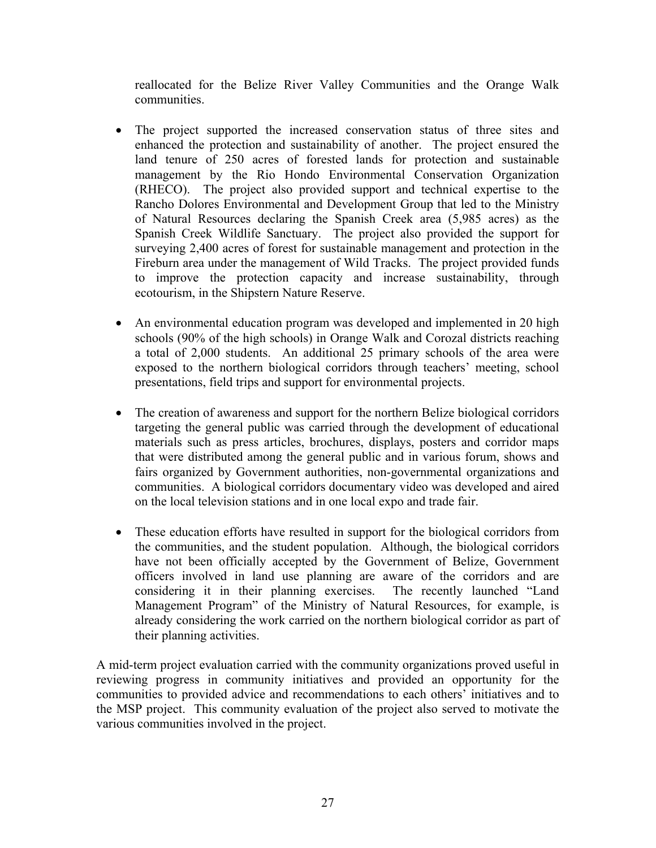reallocated for the Belize River Valley Communities and the Orange Walk communities.

- The project supported the increased conservation status of three sites and enhanced the protection and sustainability of another. The project ensured the land tenure of 250 acres of forested lands for protection and sustainable management by the Rio Hondo Environmental Conservation Organization (RHECO). The project also provided support and technical expertise to the Rancho Dolores Environmental and Development Group that led to the Ministry of Natural Resources declaring the Spanish Creek area (5,985 acres) as the Spanish Creek Wildlife Sanctuary. The project also provided the support for surveying 2,400 acres of forest for sustainable management and protection in the Fireburn area under the management of Wild Tracks. The project provided funds to improve the protection capacity and increase sustainability, through ecotourism, in the Shipstern Nature Reserve.
- An environmental education program was developed and implemented in 20 high schools (90% of the high schools) in Orange Walk and Corozal districts reaching a total of 2,000 students. An additional 25 primary schools of the area were exposed to the northern biological corridors through teachers' meeting, school presentations, field trips and support for environmental projects.
- The creation of awareness and support for the northern Belize biological corridors targeting the general public was carried through the development of educational materials such as press articles, brochures, displays, posters and corridor maps that were distributed among the general public and in various forum, shows and fairs organized by Government authorities, non-governmental organizations and communities. A biological corridors documentary video was developed and aired on the local television stations and in one local expo and trade fair.
- These education efforts have resulted in support for the biological corridors from the communities, and the student population. Although, the biological corridors have not been officially accepted by the Government of Belize, Government officers involved in land use planning are aware of the corridors and are considering it in their planning exercises. The recently launched "Land Management Program" of the Ministry of Natural Resources, for example, is already considering the work carried on the northern biological corridor as part of their planning activities.

A mid-term project evaluation carried with the community organizations proved useful in reviewing progress in community initiatives and provided an opportunity for the communities to provided advice and recommendations to each others' initiatives and to the MSP project. This community evaluation of the project also served to motivate the various communities involved in the project.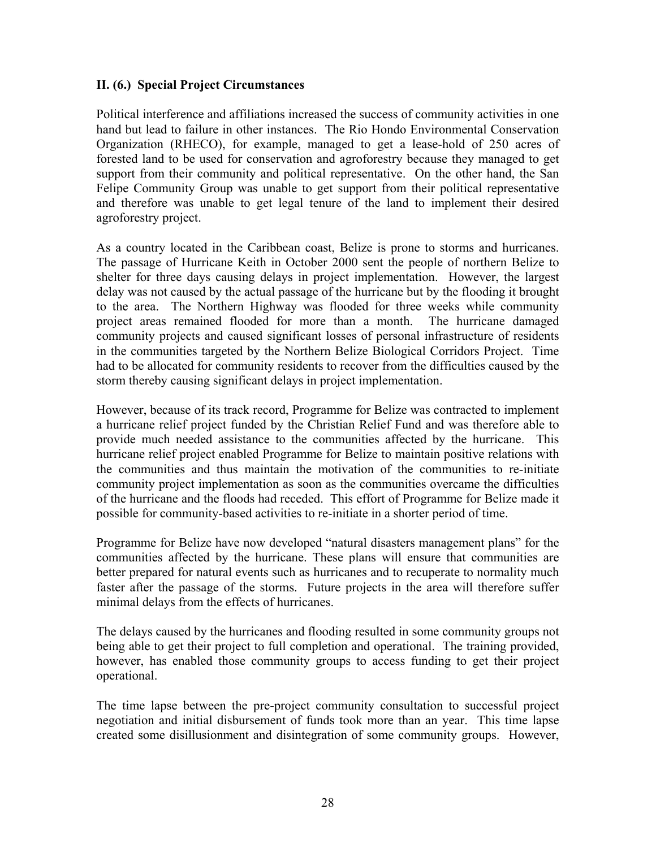#### **II. (6.) Special Project Circumstances**

Political interference and affiliations increased the success of community activities in one hand but lead to failure in other instances. The Rio Hondo Environmental Conservation Organization (RHECO), for example, managed to get a lease-hold of 250 acres of forested land to be used for conservation and agroforestry because they managed to get support from their community and political representative. On the other hand, the San Felipe Community Group was unable to get support from their political representative and therefore was unable to get legal tenure of the land to implement their desired agroforestry project.

As a country located in the Caribbean coast, Belize is prone to storms and hurricanes. The passage of Hurricane Keith in October 2000 sent the people of northern Belize to shelter for three days causing delays in project implementation. However, the largest delay was not caused by the actual passage of the hurricane but by the flooding it brought to the area. The Northern Highway was flooded for three weeks while community project areas remained flooded for more than a month. The hurricane damaged community projects and caused significant losses of personal infrastructure of residents in the communities targeted by the Northern Belize Biological Corridors Project. Time had to be allocated for community residents to recover from the difficulties caused by the storm thereby causing significant delays in project implementation.

However, because of its track record, Programme for Belize was contracted to implement a hurricane relief project funded by the Christian Relief Fund and was therefore able to provide much needed assistance to the communities affected by the hurricane. This hurricane relief project enabled Programme for Belize to maintain positive relations with the communities and thus maintain the motivation of the communities to re-initiate community project implementation as soon as the communities overcame the difficulties of the hurricane and the floods had receded. This effort of Programme for Belize made it possible for community-based activities to re-initiate in a shorter period of time.

Programme for Belize have now developed "natural disasters management plans" for the communities affected by the hurricane. These plans will ensure that communities are better prepared for natural events such as hurricanes and to recuperate to normality much faster after the passage of the storms. Future projects in the area will therefore suffer minimal delays from the effects of hurricanes.

The delays caused by the hurricanes and flooding resulted in some community groups not being able to get their project to full completion and operational. The training provided, however, has enabled those community groups to access funding to get their project operational.

The time lapse between the pre-project community consultation to successful project negotiation and initial disbursement of funds took more than an year. This time lapse created some disillusionment and disintegration of some community groups. However,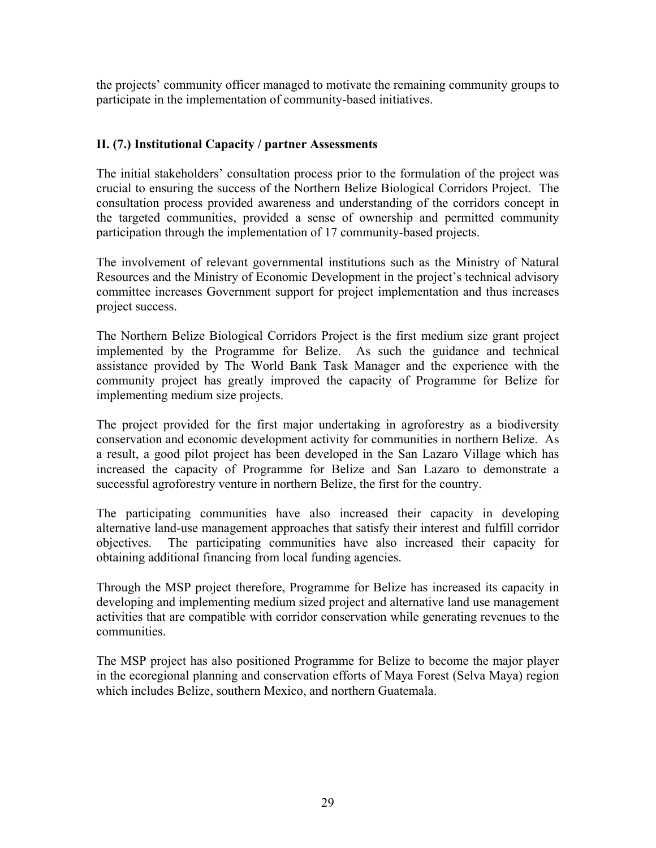the projects' community officer managed to motivate the remaining community groups to participate in the implementation of community-based initiatives.

# **II. (7.) Institutional Capacity / partner Assessments**

The initial stakeholders' consultation process prior to the formulation of the project was crucial to ensuring the success of the Northern Belize Biological Corridors Project. The consultation process provided awareness and understanding of the corridors concept in the targeted communities, provided a sense of ownership and permitted community participation through the implementation of 17 community-based projects.

The involvement of relevant governmental institutions such as the Ministry of Natural Resources and the Ministry of Economic Development in the project's technical advisory committee increases Government support for project implementation and thus increases project success.

The Northern Belize Biological Corridors Project is the first medium size grant project implemented by the Programme for Belize. As such the guidance and technical assistance provided by The World Bank Task Manager and the experience with the community project has greatly improved the capacity of Programme for Belize for implementing medium size projects.

The project provided for the first major undertaking in agroforestry as a biodiversity conservation and economic development activity for communities in northern Belize. As a result, a good pilot project has been developed in the San Lazaro Village which has increased the capacity of Programme for Belize and San Lazaro to demonstrate a successful agroforestry venture in northern Belize, the first for the country.

The participating communities have also increased their capacity in developing alternative land-use management approaches that satisfy their interest and fulfill corridor objectives. The participating communities have also increased their capacity for obtaining additional financing from local funding agencies.

Through the MSP project therefore, Programme for Belize has increased its capacity in developing and implementing medium sized project and alternative land use management activities that are compatible with corridor conservation while generating revenues to the communities.

The MSP project has also positioned Programme for Belize to become the major player in the ecoregional planning and conservation efforts of Maya Forest (Selva Maya) region which includes Belize, southern Mexico, and northern Guatemala.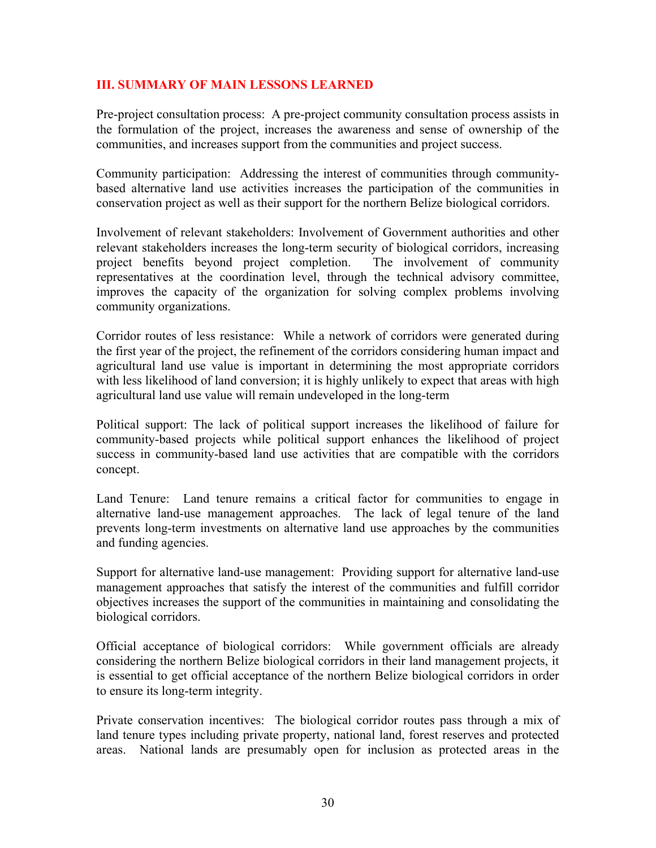### **III. SUMMARY OF MAIN LESSONS LEARNED**

Pre-project consultation process: A pre-project community consultation process assists in the formulation of the project, increases the awareness and sense of ownership of the communities, and increases support from the communities and project success.

Community participation: Addressing the interest of communities through communitybased alternative land use activities increases the participation of the communities in conservation project as well as their support for the northern Belize biological corridors.

Involvement of relevant stakeholders: Involvement of Government authorities and other relevant stakeholders increases the long-term security of biological corridors, increasing project benefits beyond project completion. The involvement of community representatives at the coordination level, through the technical advisory committee, improves the capacity of the organization for solving complex problems involving community organizations.

Corridor routes of less resistance: While a network of corridors were generated during the first year of the project, the refinement of the corridors considering human impact and agricultural land use value is important in determining the most appropriate corridors with less likelihood of land conversion; it is highly unlikely to expect that areas with high agricultural land use value will remain undeveloped in the long-term

Political support: The lack of political support increases the likelihood of failure for community-based projects while political support enhances the likelihood of project success in community-based land use activities that are compatible with the corridors concept.

Land Tenure: Land tenure remains a critical factor for communities to engage in alternative land-use management approaches. The lack of legal tenure of the land prevents long-term investments on alternative land use approaches by the communities and funding agencies.

Support for alternative land-use management: Providing support for alternative land-use management approaches that satisfy the interest of the communities and fulfill corridor objectives increases the support of the communities in maintaining and consolidating the biological corridors.

Official acceptance of biological corridors: While government officials are already considering the northern Belize biological corridors in their land management projects, it is essential to get official acceptance of the northern Belize biological corridors in order to ensure its long-term integrity.

Private conservation incentives: The biological corridor routes pass through a mix of land tenure types including private property, national land, forest reserves and protected areas. National lands are presumably open for inclusion as protected areas in the